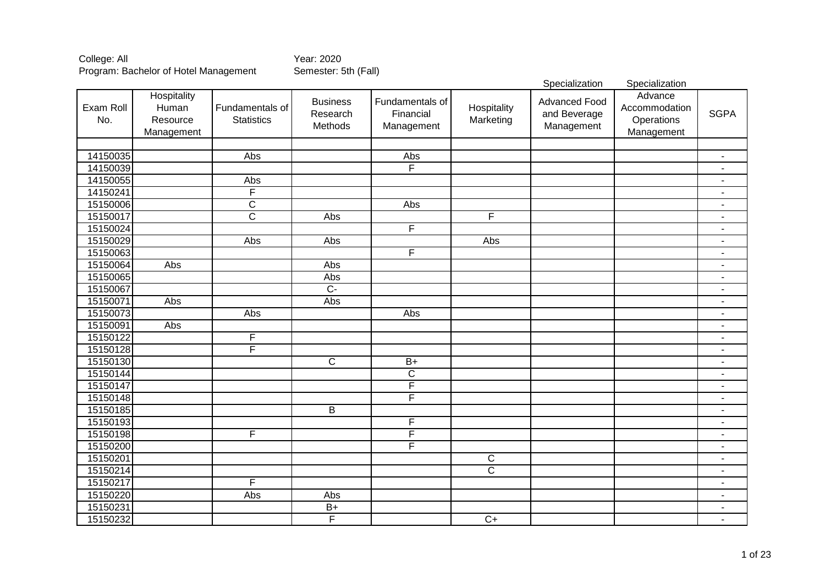|                  |                                                |                                      |                                        |                                            |                          | Specialization                                     | Specialization                                       |                          |
|------------------|------------------------------------------------|--------------------------------------|----------------------------------------|--------------------------------------------|--------------------------|----------------------------------------------------|------------------------------------------------------|--------------------------|
| Exam Roll<br>No. | Hospitality<br>Human<br>Resource<br>Management | Fundamentals of<br><b>Statistics</b> | <b>Business</b><br>Research<br>Methods | Fundamentals of<br>Financial<br>Management | Hospitality<br>Marketing | <b>Advanced Food</b><br>and Beverage<br>Management | Advance<br>Accommodation<br>Operations<br>Management | <b>SGPA</b>              |
|                  |                                                |                                      |                                        |                                            |                          |                                                    |                                                      |                          |
| 14150035         |                                                | Abs                                  |                                        | Abs                                        |                          |                                                    |                                                      |                          |
| 14150039         |                                                |                                      |                                        | F                                          |                          |                                                    |                                                      |                          |
| 14150055         |                                                | Abs                                  |                                        |                                            |                          |                                                    |                                                      | $\blacksquare$           |
| 14150241         |                                                | F                                    |                                        |                                            |                          |                                                    |                                                      | $\blacksquare$           |
| 15150006         |                                                | $\overline{\mathsf{C}}$              |                                        | Abs                                        |                          |                                                    |                                                      | $\blacksquare$           |
| 15150017         |                                                | $\overline{\text{c}}$                | Abs                                    |                                            | F                        |                                                    |                                                      | $\blacksquare$           |
| 15150024         |                                                |                                      |                                        | F                                          |                          |                                                    |                                                      | $\blacksquare$           |
| 15150029         |                                                | Abs                                  | Abs                                    |                                            | Abs                      |                                                    |                                                      | $\blacksquare$           |
| 15150063         |                                                |                                      |                                        | F                                          |                          |                                                    |                                                      | $\overline{a}$           |
| 15150064         | Abs                                            |                                      | Abs                                    |                                            |                          |                                                    |                                                      | ٠                        |
| 15150065         |                                                |                                      | Abs                                    |                                            |                          |                                                    |                                                      | $\blacksquare$           |
| 15150067         |                                                |                                      | $\overline{C}$                         |                                            |                          |                                                    |                                                      | $\blacksquare$           |
| 15150071         | Abs                                            |                                      | Abs                                    |                                            |                          |                                                    |                                                      | $\blacksquare$           |
| 15150073         |                                                | Abs                                  |                                        | Abs                                        |                          |                                                    |                                                      | $\blacksquare$           |
| 15150091         | Abs                                            |                                      |                                        |                                            |                          |                                                    |                                                      | $\blacksquare$           |
| 15150122         |                                                | F                                    |                                        |                                            |                          |                                                    |                                                      | $\overline{\phantom{a}}$ |
| 15150128         |                                                | $\overline{\mathsf{F}}$              |                                        |                                            |                          |                                                    |                                                      | $\overline{\phantom{a}}$ |
| 15150130         |                                                |                                      | $\mathsf C$                            | $B+$                                       |                          |                                                    |                                                      | $\overline{\phantom{a}}$ |
| 15150144         |                                                |                                      |                                        | $\mathsf C$                                |                          |                                                    |                                                      | $\overline{\phantom{a}}$ |
| 15150147         |                                                |                                      |                                        | F                                          |                          |                                                    |                                                      | $\overline{\phantom{a}}$ |
| 15150148         |                                                |                                      |                                        | F                                          |                          |                                                    |                                                      | $\blacksquare$           |
| 15150185         |                                                |                                      | $\overline{B}$                         |                                            |                          |                                                    |                                                      | $\overline{\phantom{a}}$ |
| 15150193         |                                                |                                      |                                        | F                                          |                          |                                                    |                                                      | $\overline{\phantom{a}}$ |
| 15150198         |                                                | F                                    |                                        | F                                          |                          |                                                    |                                                      | $\overline{\phantom{a}}$ |
| 15150200         |                                                |                                      |                                        | F                                          |                          |                                                    |                                                      | $\overline{\phantom{a}}$ |
| 15150201         |                                                |                                      |                                        |                                            | $\overline{C}$           |                                                    |                                                      | $\overline{\phantom{a}}$ |
| 15150214         |                                                |                                      |                                        |                                            | $\overline{C}$           |                                                    |                                                      | $\overline{\phantom{a}}$ |
| 15150217         |                                                | F                                    |                                        |                                            |                          |                                                    |                                                      | $\blacksquare$           |
| 15150220         |                                                | Abs                                  | Abs                                    |                                            |                          |                                                    |                                                      | $\blacksquare$           |
| 15150231         |                                                |                                      | $B+$                                   |                                            |                          |                                                    |                                                      | $\blacksquare$           |
| 15150232         |                                                |                                      | F                                      |                                            | $\overline{C}$           |                                                    |                                                      | ٠                        |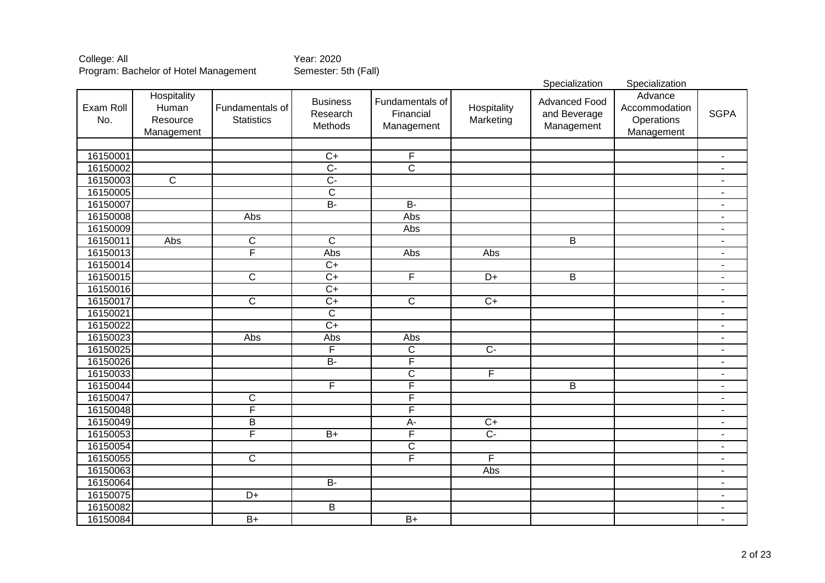|                  |                                                |                                      |                                        |                                            |                          | Specialization                                     | Specialization                                       |                          |
|------------------|------------------------------------------------|--------------------------------------|----------------------------------------|--------------------------------------------|--------------------------|----------------------------------------------------|------------------------------------------------------|--------------------------|
| Exam Roll<br>No. | Hospitality<br>Human<br>Resource<br>Management | Fundamentals of<br><b>Statistics</b> | <b>Business</b><br>Research<br>Methods | Fundamentals of<br>Financial<br>Management | Hospitality<br>Marketing | <b>Advanced Food</b><br>and Beverage<br>Management | Advance<br>Accommodation<br>Operations<br>Management | <b>SGPA</b>              |
|                  |                                                |                                      |                                        |                                            |                          |                                                    |                                                      |                          |
| 16150001         |                                                |                                      | $\overline{C+}$                        | F                                          |                          |                                                    |                                                      | $\overline{\phantom{a}}$ |
| 16150002         |                                                |                                      | $\overline{C}$ -                       | $\overline{\text{c}}$                      |                          |                                                    |                                                      |                          |
| 16150003         | $\overline{\mathsf{C}}$                        |                                      | $\overline{C}$                         |                                            |                          |                                                    |                                                      |                          |
| 16150005         |                                                |                                      | $\overline{\mathsf{C}}$                |                                            |                          |                                                    |                                                      |                          |
| 16150007         |                                                |                                      | $B -$                                  | $B -$                                      |                          |                                                    |                                                      | $\blacksquare$           |
| 16150008         |                                                | Abs                                  |                                        | Abs                                        |                          |                                                    |                                                      | $\blacksquare$           |
| 16150009         |                                                |                                      |                                        | Abs                                        |                          |                                                    |                                                      | $\blacksquare$           |
| 16150011         | Abs                                            | $\overline{C}$                       | $\overline{\text{c}}$                  |                                            |                          | $\overline{B}$                                     |                                                      | $\blacksquare$           |
| 16150013         |                                                | F                                    | Abs                                    | Abs                                        | Abs                      |                                                    |                                                      | $\blacksquare$           |
| 16150014         |                                                |                                      | $\overline{C+}$                        |                                            |                          |                                                    |                                                      | $\overline{a}$           |
| 16150015         |                                                | $\overline{\text{c}}$                | $\overline{C+}$                        | F                                          | $\overline{D+}$          | $\overline{B}$                                     |                                                      | $\overline{a}$           |
| 16150016         |                                                |                                      | $\overline{C+}$                        |                                            |                          |                                                    |                                                      | $\blacksquare$           |
| 16150017         |                                                | $\overline{\text{c}}$                | $\overline{C+}$                        | $\overline{C}$                             | $\overline{C+}$          |                                                    |                                                      | $\blacksquare$           |
| 16150021         |                                                |                                      | $\overline{C}$                         |                                            |                          |                                                    |                                                      | $\blacksquare$           |
| 16150022         |                                                |                                      | $\overline{C+}$                        |                                            |                          |                                                    |                                                      | $\blacksquare$           |
| 16150023         |                                                | Abs                                  | Abs                                    | Abs                                        |                          |                                                    |                                                      | $\blacksquare$           |
| 16150025         |                                                |                                      | F                                      | $\overline{C}$                             | $\overline{C}$           |                                                    |                                                      | $\blacksquare$           |
| 16150026         |                                                |                                      | $B -$                                  | $\overline{\mathsf{F}}$                    |                          |                                                    |                                                      | $\overline{a}$           |
| 16150033         |                                                |                                      |                                        | $\overline{\text{C}}$                      | F                        |                                                    |                                                      | $\overline{\phantom{a}}$ |
| 16150044         |                                                |                                      | $\overline{\mathsf{F}}$                | $\overline{\mathsf{F}}$                    |                          | B                                                  |                                                      | $\overline{\phantom{a}}$ |
| 16150047         |                                                | $\mathsf C$                          |                                        | F                                          |                          |                                                    |                                                      | $\overline{\phantom{a}}$ |
| 16150048         |                                                | $\overline{\mathsf{F}}$              |                                        | $\overline{\mathsf{F}}$                    |                          |                                                    |                                                      | $\blacksquare$           |
| 16150049         |                                                | $\overline{B}$                       |                                        | A-                                         | $\overline{C}$           |                                                    |                                                      | $\blacksquare$           |
| 16150053         |                                                | F                                    | $B+$                                   | F                                          | $\overline{C}$           |                                                    |                                                      | $\overline{\phantom{a}}$ |
| 16150054         |                                                |                                      |                                        | C                                          |                          |                                                    |                                                      | $\blacksquare$           |
| 16150055         |                                                | $\overline{c}$                       |                                        | F                                          | F                        |                                                    |                                                      | $\blacksquare$           |
| 16150063         |                                                |                                      |                                        |                                            | Abs                      |                                                    |                                                      | $\overline{\phantom{a}}$ |
| 16150064         |                                                |                                      | $B -$                                  |                                            |                          |                                                    |                                                      | $\blacksquare$           |
| 16150075         |                                                | D+                                   |                                        |                                            |                          |                                                    |                                                      | $\blacksquare$           |
| 16150082         |                                                |                                      | B                                      |                                            |                          |                                                    |                                                      | $\overline{\phantom{a}}$ |
| 16150084         |                                                | $\overline{B+}$                      |                                        | $\overline{B+}$                            |                          |                                                    |                                                      | $\blacksquare$           |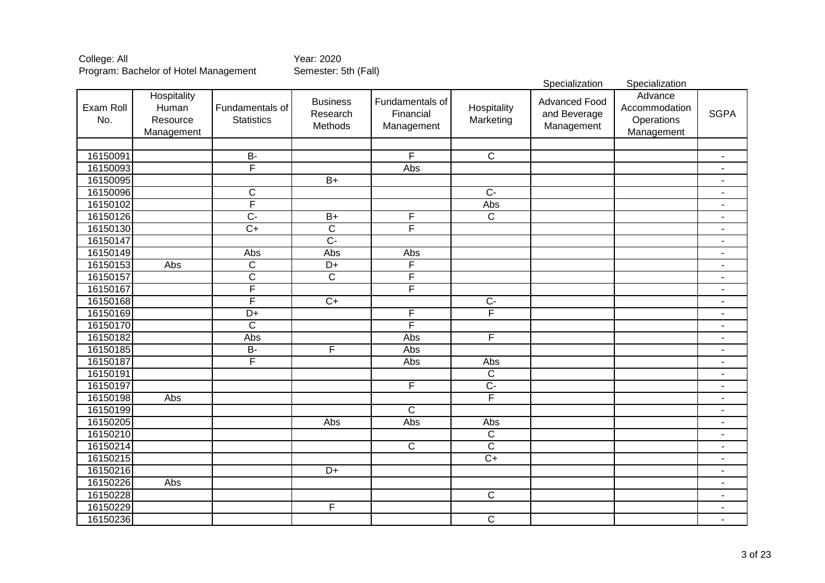|                  |                                                |                                      |                                        |                                            |                          | Specialization                                     | Specialization                                       |                          |
|------------------|------------------------------------------------|--------------------------------------|----------------------------------------|--------------------------------------------|--------------------------|----------------------------------------------------|------------------------------------------------------|--------------------------|
| Exam Roll<br>No. | Hospitality<br>Human<br>Resource<br>Management | Fundamentals of<br><b>Statistics</b> | <b>Business</b><br>Research<br>Methods | Fundamentals of<br>Financial<br>Management | Hospitality<br>Marketing | <b>Advanced Food</b><br>and Beverage<br>Management | Advance<br>Accommodation<br>Operations<br>Management | <b>SGPA</b>              |
|                  |                                                |                                      |                                        |                                            |                          |                                                    |                                                      |                          |
| 16150091         |                                                | $\overline{B}$                       |                                        | $\overline{\mathsf{F}}$                    | $\overline{C}$           |                                                    |                                                      |                          |
| 16150093         |                                                | F                                    |                                        | Abs                                        |                          |                                                    |                                                      |                          |
| 16150095         |                                                |                                      | $B+$                                   |                                            |                          |                                                    |                                                      | $\overline{\phantom{a}}$ |
| 16150096         |                                                | $\overline{\text{C}}$                |                                        |                                            | $\overline{C}$ -         |                                                    |                                                      | $\blacksquare$           |
| 16150102         |                                                | $\overline{F}$                       |                                        |                                            | Abs                      |                                                    |                                                      | $\blacksquare$           |
| 16150126         |                                                | $\overline{C}$                       | $B+$                                   | F                                          | $\overline{\mathsf{C}}$  |                                                    |                                                      | $\blacksquare$           |
| 16150130         |                                                | $\overline{C+}$                      | $\overline{\text{c}}$                  | F                                          |                          |                                                    |                                                      | $\blacksquare$           |
| 16150147         |                                                |                                      | $\overline{C}$                         |                                            |                          |                                                    |                                                      | $\blacksquare$           |
| 16150149         |                                                | Abs                                  | Abs                                    | Abs                                        |                          |                                                    |                                                      | $\overline{a}$           |
| 16150153         | Abs                                            | $\overline{\mathsf{C}}$              | $\overline{D+}$                        | F                                          |                          |                                                    |                                                      | $\overline{a}$           |
| 16150157         |                                                | $\overline{\text{C}}$                | $\overline{C}$                         | F                                          |                          |                                                    |                                                      | $\blacksquare$           |
| 16150167         |                                                | F                                    |                                        | F                                          |                          |                                                    |                                                      | $\blacksquare$           |
| 16150168         |                                                | F                                    | $C+$                                   |                                            | $\overline{C}$           |                                                    |                                                      | $\blacksquare$           |
| 16150169         |                                                | $\overline{D+}$                      |                                        | F                                          | $\overline{F}$           |                                                    |                                                      | $\blacksquare$           |
| 16150170         |                                                | $\overline{\mathsf{C}}$              |                                        | F                                          |                          |                                                    |                                                      | $\blacksquare$           |
| 16150182         |                                                | Abs                                  |                                        | Abs                                        | $\overline{F}$           |                                                    |                                                      | $\blacksquare$           |
| 16150185         |                                                | $\overline{B}$                       | F                                      | Abs                                        |                          |                                                    |                                                      | $\blacksquare$           |
| 16150187         |                                                | $\overline{\mathsf{F}}$              |                                        | Abs                                        | Abs                      |                                                    |                                                      | $\blacksquare$           |
| 16150191         |                                                |                                      |                                        |                                            | $\overline{C}$           |                                                    |                                                      | $\overline{\phantom{a}}$ |
| 16150197         |                                                |                                      |                                        | F                                          | $\overline{C}$           |                                                    |                                                      | $\overline{\phantom{a}}$ |
| 16150198         | Abs                                            |                                      |                                        |                                            | F                        |                                                    |                                                      | $\blacksquare$           |
| 16150199         |                                                |                                      |                                        | $\mathsf{C}$                               |                          |                                                    |                                                      | $\blacksquare$           |
| 16150205         |                                                |                                      | Abs                                    | Abs                                        | Abs                      |                                                    |                                                      | $\blacksquare$           |
| 16150210         |                                                |                                      |                                        |                                            | $\overline{C}$           |                                                    |                                                      | $\overline{\phantom{a}}$ |
| 16150214         |                                                |                                      |                                        | $\overline{C}$                             | $\overline{C}$           |                                                    |                                                      | $\blacksquare$           |
| 16150215         |                                                |                                      |                                        |                                            | $\overline{C+}$          |                                                    |                                                      | $\overline{\phantom{a}}$ |
| 16150216         |                                                |                                      | D+                                     |                                            |                          |                                                    |                                                      | $\overline{\phantom{a}}$ |
| 16150226         | Abs                                            |                                      |                                        |                                            |                          |                                                    |                                                      | $\overline{\phantom{a}}$ |
| 16150228         |                                                |                                      |                                        |                                            | $\overline{C}$           |                                                    |                                                      | $\blacksquare$           |
| 16150229         |                                                |                                      | F                                      |                                            |                          |                                                    |                                                      | $\overline{\phantom{a}}$ |
| 16150236         |                                                |                                      |                                        |                                            | $\overline{C}$           |                                                    |                                                      | $\blacksquare$           |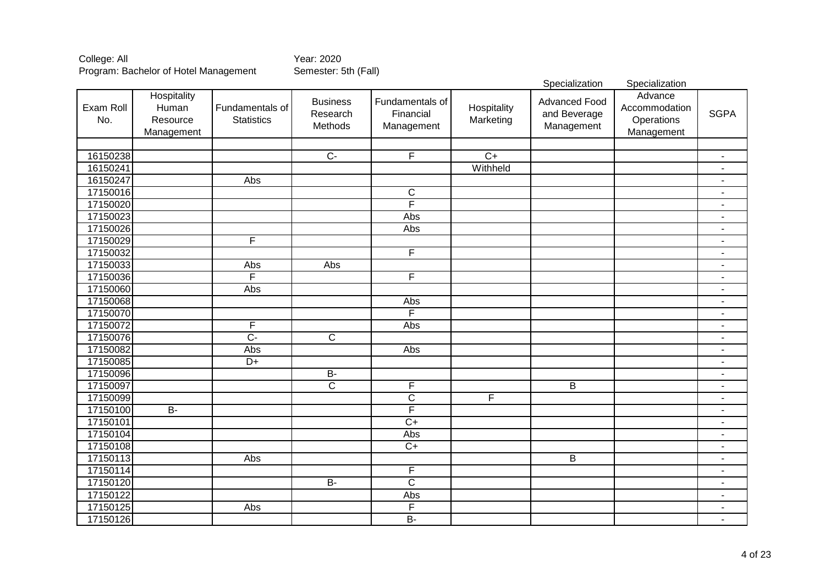|                  |                                                |                                      |                                        |                                            |                          | Specialization                                     | Specialization                                       |                          |
|------------------|------------------------------------------------|--------------------------------------|----------------------------------------|--------------------------------------------|--------------------------|----------------------------------------------------|------------------------------------------------------|--------------------------|
| Exam Roll<br>No. | Hospitality<br>Human<br>Resource<br>Management | Fundamentals of<br><b>Statistics</b> | <b>Business</b><br>Research<br>Methods | Fundamentals of<br>Financial<br>Management | Hospitality<br>Marketing | <b>Advanced Food</b><br>and Beverage<br>Management | Advance<br>Accommodation<br>Operations<br>Management | <b>SGPA</b>              |
|                  |                                                |                                      |                                        |                                            |                          |                                                    |                                                      |                          |
| 16150238         |                                                |                                      | $\overline{C}$                         | $\overline{\mathsf{F}}$                    | $\overline{C+}$          |                                                    |                                                      | $\overline{\phantom{a}}$ |
| 16150241         |                                                |                                      |                                        |                                            | Withheld                 |                                                    |                                                      |                          |
| 16150247         |                                                | Abs                                  |                                        |                                            |                          |                                                    |                                                      |                          |
| 17150016         |                                                |                                      |                                        | $\overline{\text{C}}$                      |                          |                                                    |                                                      | $\blacksquare$           |
| 17150020         |                                                |                                      |                                        | F                                          |                          |                                                    |                                                      | $\blacksquare$           |
| 17150023         |                                                |                                      |                                        | Abs                                        |                          |                                                    |                                                      | $\blacksquare$           |
| 17150026         |                                                |                                      |                                        | Abs                                        |                          |                                                    |                                                      | $\blacksquare$           |
| 17150029         |                                                | F                                    |                                        |                                            |                          |                                                    |                                                      | $\blacksquare$           |
| 17150032         |                                                |                                      |                                        | F                                          |                          |                                                    |                                                      | $\blacksquare$           |
| 17150033         |                                                | Abs                                  | Abs                                    |                                            |                          |                                                    |                                                      | $\overline{a}$           |
| 17150036         |                                                | F                                    |                                        | F                                          |                          |                                                    |                                                      | $\blacksquare$           |
| 17150060         |                                                | Abs                                  |                                        |                                            |                          |                                                    |                                                      | $\blacksquare$           |
| 17150068         |                                                |                                      |                                        | Abs                                        |                          |                                                    |                                                      | $\blacksquare$           |
| 17150070         |                                                |                                      |                                        | F                                          |                          |                                                    |                                                      | $\overline{a}$           |
| 17150072         |                                                | $\overline{\mathsf{F}}$              |                                        | Abs                                        |                          |                                                    |                                                      | $\blacksquare$           |
| 17150076         |                                                | $\overline{C}$ -                     | $\overline{C}$                         |                                            |                          |                                                    |                                                      | $\blacksquare$           |
| 17150082         |                                                | Abs                                  |                                        | Abs                                        |                          |                                                    |                                                      | $\overline{\phantom{a}}$ |
| 17150085         |                                                | $\overline{D+}$                      |                                        |                                            |                          |                                                    |                                                      | $\overline{\phantom{a}}$ |
| 17150096         |                                                |                                      | $\overline{B}$                         |                                            |                          |                                                    |                                                      | $\blacksquare$           |
| 17150097         |                                                |                                      | $\overline{C}$                         | F                                          |                          | B                                                  |                                                      | $\blacksquare$           |
| 17150099         |                                                |                                      |                                        | $\overline{\text{C}}$                      | F                        |                                                    |                                                      | $\blacksquare$           |
| 17150100         | <b>B-</b>                                      |                                      |                                        | F                                          |                          |                                                    |                                                      | $\blacksquare$           |
| 17150101         |                                                |                                      |                                        | $\overline{C+}$                            |                          |                                                    |                                                      | $\overline{\phantom{a}}$ |
| 17150104         |                                                |                                      |                                        | Abs                                        |                          |                                                    |                                                      | $\overline{\phantom{a}}$ |
| 17150108         |                                                |                                      |                                        | $\overline{C+}$                            |                          |                                                    |                                                      | $\overline{\phantom{a}}$ |
| 17150113         |                                                | Abs                                  |                                        |                                            |                          | B                                                  |                                                      | $\blacksquare$           |
| 17150114         |                                                |                                      |                                        | F                                          |                          |                                                    |                                                      | $\blacksquare$           |
| 17150120         |                                                |                                      | $\overline{B}$                         | $\overline{C}$                             |                          |                                                    |                                                      | $\blacksquare$           |
| 17150122         |                                                |                                      |                                        | Abs                                        |                          |                                                    |                                                      | ٠                        |
| 17150125         |                                                | Abs                                  |                                        | F                                          |                          |                                                    |                                                      |                          |
| 17150126         |                                                |                                      |                                        | $B -$                                      |                          |                                                    |                                                      | $\blacksquare$           |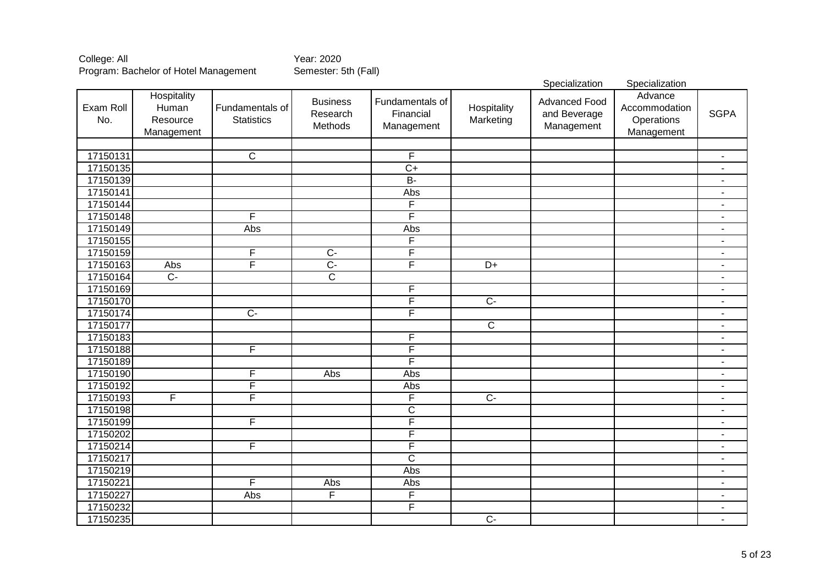|                  |                                                |                                      |                                        |                                            |                          | Specialization                                     | Specialization                                       |                          |
|------------------|------------------------------------------------|--------------------------------------|----------------------------------------|--------------------------------------------|--------------------------|----------------------------------------------------|------------------------------------------------------|--------------------------|
| Exam Roll<br>No. | Hospitality<br>Human<br>Resource<br>Management | Fundamentals of<br><b>Statistics</b> | <b>Business</b><br>Research<br>Methods | Fundamentals of<br>Financial<br>Management | Hospitality<br>Marketing | <b>Advanced Food</b><br>and Beverage<br>Management | Advance<br>Accommodation<br>Operations<br>Management | <b>SGPA</b>              |
|                  |                                                |                                      |                                        |                                            |                          |                                                    |                                                      |                          |
| 17150131         |                                                | $\overline{C}$                       |                                        | F                                          |                          |                                                    |                                                      | $\blacksquare$           |
| 17150135         |                                                |                                      |                                        | $\overline{C+}$                            |                          |                                                    |                                                      | $\blacksquare$           |
| 17150139         |                                                |                                      |                                        | $B -$                                      |                          |                                                    |                                                      |                          |
| 17150141         |                                                |                                      |                                        | Abs                                        |                          |                                                    |                                                      | $\blacksquare$           |
| 17150144         |                                                |                                      |                                        | F                                          |                          |                                                    |                                                      | $\blacksquare$           |
| 17150148         |                                                | F                                    |                                        | F                                          |                          |                                                    |                                                      | $\blacksquare$           |
| 17150149         |                                                | Abs                                  |                                        | Abs                                        |                          |                                                    |                                                      | $\blacksquare$           |
| 17150155         |                                                |                                      |                                        | F                                          |                          |                                                    |                                                      | $\blacksquare$           |
| 17150159         |                                                | F                                    | $\overline{C}$                         | F                                          |                          |                                                    |                                                      | $\blacksquare$           |
| 17150163         | Abs                                            | F                                    | $\overline{C}$ -                       | F                                          | $\overline{D+}$          |                                                    |                                                      | $\blacksquare$           |
| 17150164         | $\overline{C}$                                 |                                      | $\overline{\text{c}}$                  |                                            |                          |                                                    |                                                      | $\blacksquare$           |
| 17150169         |                                                |                                      |                                        | F                                          |                          |                                                    |                                                      | ÷                        |
| 17150170         |                                                |                                      |                                        | F                                          | $\overline{C}$ -         |                                                    |                                                      | $\blacksquare$           |
| 17150174         |                                                | $\overline{C}$                       |                                        | F                                          |                          |                                                    |                                                      | $\blacksquare$           |
| 17150177         |                                                |                                      |                                        |                                            | $\overline{\mathsf{C}}$  |                                                    |                                                      | $\blacksquare$           |
| 17150183         |                                                |                                      |                                        | F                                          |                          |                                                    |                                                      | $\blacksquare$           |
| 17150188         |                                                | F                                    |                                        | F                                          |                          |                                                    |                                                      | $\blacksquare$           |
| 17150189         |                                                |                                      |                                        | F                                          |                          |                                                    |                                                      | $\blacksquare$           |
| 17150190         |                                                | F                                    | Abs                                    | Abs                                        |                          |                                                    |                                                      | $\blacksquare$           |
| 17150192         |                                                | $\overline{\mathsf{F}}$              |                                        | Abs                                        |                          |                                                    |                                                      | $\overline{\phantom{a}}$ |
| 17150193         | F                                              | F                                    |                                        | F                                          | $\overline{C}$           |                                                    |                                                      | $\blacksquare$           |
| 17150198         |                                                |                                      |                                        | $\overline{C}$                             |                          |                                                    |                                                      | $\blacksquare$           |
| 17150199         |                                                | F                                    |                                        | F                                          |                          |                                                    |                                                      | $\blacksquare$           |
| 17150202         |                                                |                                      |                                        | F                                          |                          |                                                    |                                                      | $\blacksquare$           |
| 17150214         |                                                | F                                    |                                        | F                                          |                          |                                                    |                                                      | $\blacksquare$           |
| 17150217         |                                                |                                      |                                        | $\overline{\text{c}}$                      |                          |                                                    |                                                      | $\blacksquare$           |
| 17150219         |                                                |                                      |                                        | Abs                                        |                          |                                                    |                                                      | $\overline{\phantom{a}}$ |
| 17150221         |                                                | F                                    | Abs                                    | Abs                                        |                          |                                                    |                                                      | $\blacksquare$           |
| 17150227         |                                                | Abs                                  | $\overline{F}$                         | F                                          |                          |                                                    |                                                      | $\blacksquare$           |
| 17150232         |                                                |                                      |                                        | F                                          |                          |                                                    |                                                      | $\overline{\phantom{a}}$ |
| 17150235         |                                                |                                      |                                        |                                            | $\overline{C}$           |                                                    |                                                      | $\blacksquare$           |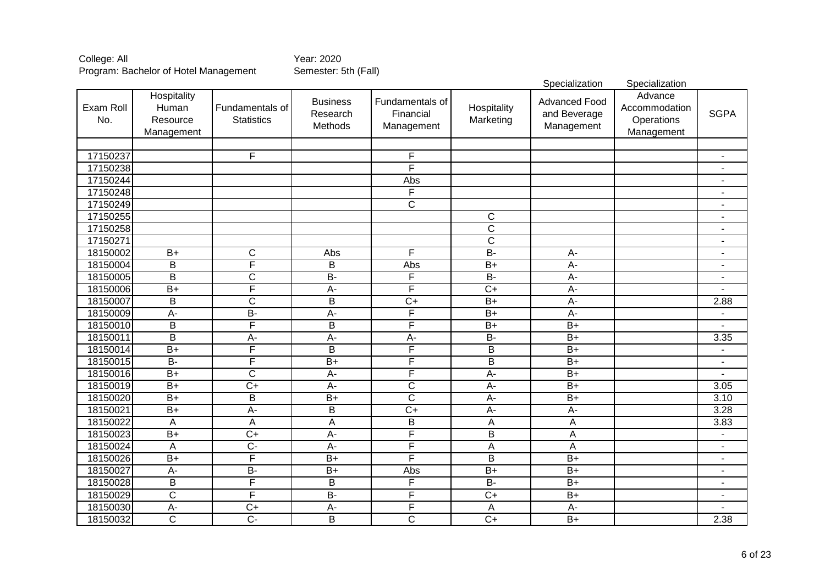Specialization Specialization Exam Roll No. **Hospitality** Human Resource Management Fundamentals of **Statistics Business** Research **Methods** Fundamentals of Financial Management **Hospitality** Marketing Advanced Food and Beverage **Management Advance** Accommodation **Operations** Management **SGPA** 17150237 F F - 17150238 F - 17150244 Abs - 17150248 F - 17150249 C - 17150255 C - 17150258 C - 17150271 C - 18150002| B+ | C | Abs | F | B- | A- | | -18150004| B | F | B | Abs | B+ | A- | | -18150005 | B | C | B- | F | B- | A- | | -18150006| B+ | F | A- | F | C+ | A- | | -18150007 B C B B C+ B+ A- B+ 2.88 18150009 A- | B- | A- | F | B+ | A- | | -18150010 B F B F B+ B+ - 18150011 B | A- | A- | A- | B- | B+ | | 3.35 18150014| B+ | F | B | F | B | B+ | | | -18150015 B- | F | B+ | F | B | B+ | | -18150016| B+ | C | A- | F | A- | B+ | | -18150019 B+ C+ A- C A- B+ 3.05 18150020| B+ | B | B+ | C | A- | B+ | 3.10 18150021 B+ A- B C+ A- A- 3.28 18150022 | A | A | B | A | A | 3.83 18150023| B+ | C+ | A- | F | B | A | | -18150024 | A | C- | A- | F | A | A | | -18150026 B+ | F | B+ | F | B | B+ | | -18150027 A- B- B+ Abs B+ B+ - 18150028 B | F | B | F | B- | B+ | | -18150029 C | F | B- | F | C+ | B+ | | -18150030 | A- | C+ | A- | F | A | A- | | -18150032 C | C- | B | C | C+ | B+ | | 2.38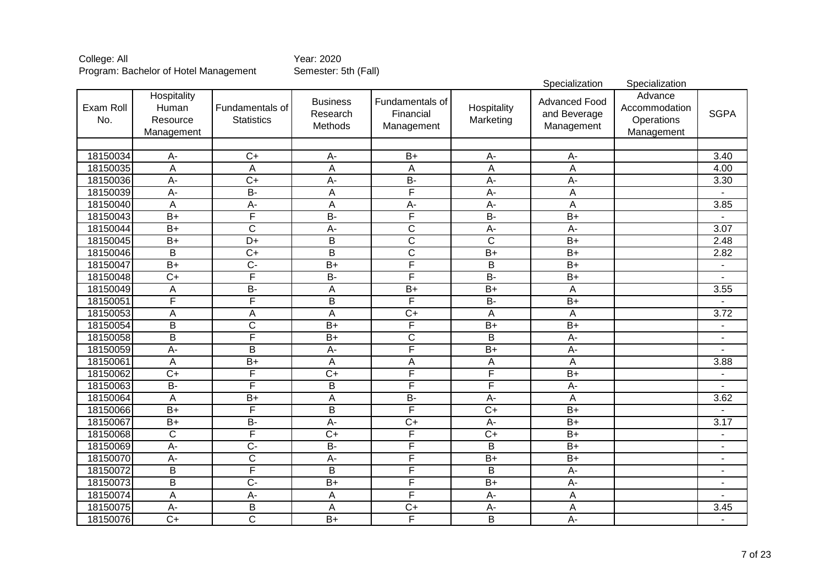|                  |                                                |                                      |                                        |                                            |                          | Specialization                                     | Specialization                                       |                          |
|------------------|------------------------------------------------|--------------------------------------|----------------------------------------|--------------------------------------------|--------------------------|----------------------------------------------------|------------------------------------------------------|--------------------------|
| Exam Roll<br>No. | Hospitality<br>Human<br>Resource<br>Management | Fundamentals of<br><b>Statistics</b> | <b>Business</b><br>Research<br>Methods | Fundamentals of<br>Financial<br>Management | Hospitality<br>Marketing | <b>Advanced Food</b><br>and Beverage<br>Management | Advance<br>Accommodation<br>Operations<br>Management | <b>SGPA</b>              |
|                  |                                                |                                      |                                        |                                            |                          |                                                    |                                                      |                          |
| 18150034         | $A -$                                          | $C+$                                 | $A -$                                  | $B+$                                       | $A -$                    | $A-$                                               |                                                      | 3.40                     |
| 18150035         | $\overline{\mathsf{A}}$                        | $\overline{A}$                       | $\overline{A}$                         | $\overline{\mathsf{A}}$                    | $\overline{A}$           | $\overline{A}$                                     |                                                      | 4.00                     |
| 18150036         | $A -$                                          | $\overline{C+}$                      | $A -$                                  | $B -$                                      | $\overline{A}$           | $\overline{A}$                                     |                                                      | 3.30                     |
| 18150039         | A-                                             | $\overline{B}$                       | A                                      | F                                          | $\overline{A}$           | Α                                                  |                                                      |                          |
| 18150040         | $\overline{A}$                                 | $A -$                                | A                                      | $\overline{A}$                             | $A -$                    | Α                                                  |                                                      | 3.85                     |
| 18150043         | $\overline{B+}$                                | F                                    | $\overline{B}$                         | F                                          | $B -$                    | $\overline{B+}$                                    |                                                      |                          |
| 18150044         | $\overline{B+}$                                | $\overline{\text{c}}$                | $A -$                                  | $\overline{\text{c}}$                      | $A -$                    | $\overline{A}$                                     |                                                      | 3.07                     |
| 18150045         | $\overline{B+}$                                | $\overline{D+}$                      | $\overline{B}$                         | $\overline{\text{c}}$                      | $\overline{\mathsf{C}}$  | $\overline{B+}$                                    |                                                      | 2.48                     |
| 18150046         | $\overline{\mathsf{B}}$                        | $\overline{C+}$                      | $\overline{\mathsf{B}}$                | $\overline{\text{c}}$                      | $\overline{B+}$          | $\overline{B+}$                                    |                                                      | 2.82                     |
| 18150047         | $\overline{B+}$                                | $\overline{C}$                       | $B+$                                   | F                                          | $\overline{B}$           | $\overline{B+}$                                    |                                                      |                          |
| 18150048         | $\overline{C+}$                                | F                                    | $B -$                                  | F                                          | $B -$                    | $\overline{B+}$                                    |                                                      |                          |
| 18150049         | A                                              | $B -$                                | $\overline{A}$                         | $\overline{B+}$                            | $B+$                     | $\overline{A}$                                     |                                                      | 3.55                     |
| 18150051         | F                                              | F                                    | B                                      | F                                          | $\overline{B}$           | $\overline{B+}$                                    |                                                      |                          |
| 18150053         | A                                              | A                                    | A                                      | $\overline{C+}$                            | $\overline{A}$           | $\overline{A}$                                     |                                                      | 3.72                     |
| 18150054         | B                                              | C                                    | $B+$                                   | F                                          | $\overline{B+}$          | $\overline{B+}$                                    |                                                      | $\blacksquare$           |
| 18150058         | $\overline{\mathsf{B}}$                        | F                                    | $B+$                                   | $\overline{\text{c}}$                      | $\overline{B}$           | $A -$                                              |                                                      | $\blacksquare$           |
| 18150059         | $\overline{A}$                                 | B                                    | $\overline{A}$                         | F                                          | $\overline{B+}$          | $\overline{A}$                                     |                                                      |                          |
| 18150061         | A                                              | $B+$                                 | A                                      | A                                          | $\overline{A}$           | A                                                  |                                                      | 3.88                     |
| 18150062         | $\overline{C+}$                                | F                                    | $\overline{C+}$                        | F                                          | F                        | $\overline{B+}$                                    |                                                      | $\blacksquare$           |
| 18150063         | <b>B-</b>                                      | F                                    | B                                      | F                                          | F                        | A-                                                 |                                                      |                          |
| 18150064         | A                                              | $B+$                                 | $\mathsf A$                            | $B -$                                      | $\overline{A}$           | A                                                  |                                                      | 3.62                     |
| 18150066         | $\overline{B+}$                                | F                                    | $\overline{B}$                         | F                                          | $\overline{C+}$          | $\overline{B+}$                                    |                                                      |                          |
| 18150067         | $\overline{B+}$                                | $B -$                                | $A -$                                  | $\overline{C+}$                            | $\overline{A}$           | $\overline{B+}$                                    |                                                      | $\overline{3.17}$        |
| 18150068         | $\mathsf C$                                    | F                                    | $\overline{C}$                         | F                                          | $\overline{C+}$          | $\overline{B+}$                                    |                                                      | $\overline{\phantom{a}}$ |
| 18150069         | $A -$                                          | $\overline{C}$                       | $B -$                                  | F                                          | $\overline{B}$           | $\overline{B+}$                                    |                                                      | $\blacksquare$           |
| 18150070         | A-                                             | $\overline{\text{c}}$                | $\overline{A}$                         | F                                          | $\overline{B+}$          | $B+$                                               |                                                      | $\blacksquare$           |
| 18150072         | B                                              | F                                    | B                                      | F                                          | B                        | A-                                                 |                                                      | $\blacksquare$           |
| 18150073         | $\overline{B}$                                 | $\overline{C}$                       | $B+$                                   | F                                          | $\overline{B+}$          | $A -$                                              |                                                      | $\blacksquare$           |
| 18150074         | A                                              | $A -$                                | A                                      | F                                          | $A -$                    | A                                                  |                                                      | $\blacksquare$           |
| 18150075         | $A-$                                           | B                                    | A                                      | $C+$                                       | $A -$                    | A                                                  |                                                      | 3.45                     |
| 18150076         | $\overline{C}$                                 | $\overline{\text{c}}$                | $\overline{B+}$                        | F                                          | $\overline{B}$           | $\overline{A}$                                     |                                                      | $\blacksquare$           |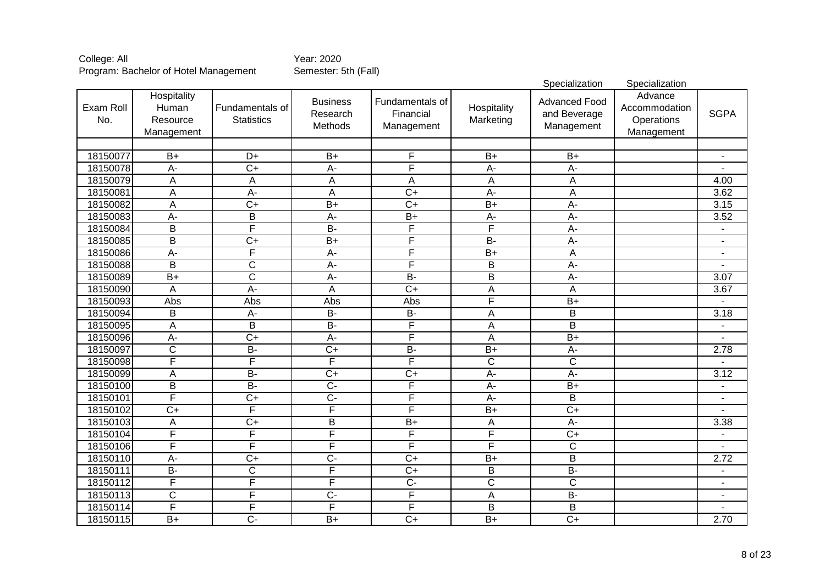|                  |                                                |                                      |                                        |                                            |                           | Specialization                                     | Specialization                                       |                          |
|------------------|------------------------------------------------|--------------------------------------|----------------------------------------|--------------------------------------------|---------------------------|----------------------------------------------------|------------------------------------------------------|--------------------------|
| Exam Roll<br>No. | Hospitality<br>Human<br>Resource<br>Management | Fundamentals of<br><b>Statistics</b> | <b>Business</b><br>Research<br>Methods | Fundamentals of<br>Financial<br>Management | Hospitality<br>Marketing  | <b>Advanced Food</b><br>and Beverage<br>Management | Advance<br>Accommodation<br>Operations<br>Management | <b>SGPA</b>              |
|                  |                                                |                                      |                                        |                                            |                           |                                                    |                                                      |                          |
| 18150077         | $\overline{B+}$                                | D+                                   | $\overline{B+}$                        | F                                          | $B+$                      | $\overline{B+}$                                    |                                                      |                          |
| 18150078         | $A -$                                          | $\overline{C+}$                      | $\overline{A}$                         | F                                          | $\overline{A}$ -          | $\overline{A}$ -                                   |                                                      |                          |
| 18150079         | A                                              | A                                    | A                                      | $\overline{A}$                             | A                         | A                                                  |                                                      | 4.00                     |
| 18150081         | A                                              | $A -$                                | A                                      | $\overline{C+}$                            | A-                        | A                                                  |                                                      | 3.62                     |
| 18150082         | A                                              | $\overline{C+}$                      | $B+$                                   | $\overline{C+}$                            | $\overline{B+}$           | $\overline{A}$                                     |                                                      | 3.15                     |
| 18150083         | $\overline{A}$                                 | $\overline{\mathsf{B}}$              | $\overline{A}$                         | $B+$                                       | $\overline{A}$ -          | $\overline{A}$                                     |                                                      | 3.52                     |
| 18150084         | $\overline{\mathsf{B}}$                        | F                                    | $\overline{B}$                         | F                                          | F                         | $\overline{A}$ -                                   |                                                      | ٠                        |
| 18150085         | $\overline{\mathsf{B}}$                        | $\overline{C+}$                      | $\overline{B+}$                        | F                                          | $\overline{B}$            | $A -$                                              |                                                      | $\blacksquare$           |
| 18150086         | $\overline{A}$                                 | F                                    | $\overline{A}$                         | F                                          | $\overline{B+}$           | A                                                  |                                                      | $\overline{a}$           |
| 18150088         | $\overline{B}$                                 | C                                    | $\overline{A}$                         | F                                          | $\overline{B}$            | $A -$                                              |                                                      |                          |
| 18150089         | $B+$                                           | $\overline{\text{c}}$                | $\overline{A}$                         | $B -$                                      | $\overline{B}$            | $\overline{A}$ -                                   |                                                      | $\overline{3.07}$        |
| 18150090         | A                                              | $\overline{A}$ -                     | A                                      | $\overline{C+}$                            | A                         | A                                                  |                                                      | 3.67                     |
| 18150093         | Abs                                            | Abs                                  | Abs                                    | Abs                                        | F                         | $B+$                                               |                                                      |                          |
| 18150094         | B                                              | $\overline{A}$ -                     | $B -$                                  | $B -$                                      | A                         | $\overline{B}$                                     |                                                      | 3.18                     |
| 18150095         | A                                              | $\overline{B}$                       | $B -$                                  | F                                          | A                         | $\overline{\mathsf{B}}$                            |                                                      | $\blacksquare$           |
| 18150096         | $\overline{A}$                                 | $\overline{C+}$                      | $A -$                                  | F                                          | $\overline{A}$            | $\overline{B+}$                                    |                                                      |                          |
| 18150097         | $\mathsf C$                                    | <b>B-</b>                            | $\overline{C+}$                        | $\overline{B}$                             | $B+$                      | A-                                                 |                                                      | 2.78                     |
| 18150098         | Ē                                              | $\overline{\mathsf{F}}$              | $\overline{\mathsf{F}}$                | F                                          | $\overline{C}$            | $\overline{\text{c}}$                              |                                                      |                          |
| 18150099         | A                                              | $B -$                                | $\overline{C+}$                        | $\overline{C+}$                            | $\overline{A}$ -          | $\overline{A}$                                     |                                                      | 3.12                     |
| 18150100         | $\overline{B}$                                 | $\overline{B}$                       | $\overline{C}$                         | F                                          | $\overline{A}$            | $\overline{B+}$                                    |                                                      | $\overline{\phantom{a}}$ |
| 18150101         | F                                              | $\overline{C}$                       | $\overline{C}$                         | F                                          | $\overline{A}$            | B                                                  |                                                      | ÷,                       |
| 18150102         | $C+$                                           | F                                    | $\overline{\mathsf{F}}$                | F                                          | $B+$                      | $\overline{C+}$                                    |                                                      |                          |
| 18150103         | A                                              | $\overline{C+}$                      | $\overline{B}$                         | $\overline{B+}$                            | $\boldsymbol{\mathsf{A}}$ | A-                                                 |                                                      | 3.38                     |
| 18150104         | $\overline{F}$                                 | F                                    | $\overline{\mathsf{F}}$                | F                                          | F                         | $C+$                                               |                                                      | ÷,                       |
| 18150106         | F                                              | F                                    | F                                      | F                                          | F                         | $\overline{\text{C}}$                              |                                                      | $\overline{\phantom{a}}$ |
| 18150110         | $A -$                                          | $\overline{C+}$                      | $\overline{C}$                         | $\overline{C}$                             | $B+$                      | $\overline{B}$                                     |                                                      | 2.72                     |
| 18150111         | $\overline{B}$                                 | $\overline{\text{c}}$                | $\overline{\mathsf{F}}$                | $\overline{C}$                             | B                         | $B -$                                              |                                                      | ÷,                       |
| 18150112         | F                                              | F                                    | $\overline{\mathsf{F}}$                | $\overline{C}$                             | $\overline{C}$            | $\overline{\text{C}}$                              |                                                      | $\blacksquare$           |
| 18150113         | $\overline{C}$                                 | F                                    | $\overline{C}$                         | F                                          | $\mathsf A$               | $B -$                                              |                                                      | $\blacksquare$           |
| 18150114         | F                                              | F                                    | $\overline{\mathsf{F}}$                | F                                          | B                         | $\overline{B}$                                     |                                                      | L.                       |
| 18150115         | $B+$                                           | $\overline{C}$                       | $B+$                                   | $\overline{C}$                             | $B+$                      | $\overline{C+}$                                    |                                                      | 2.70                     |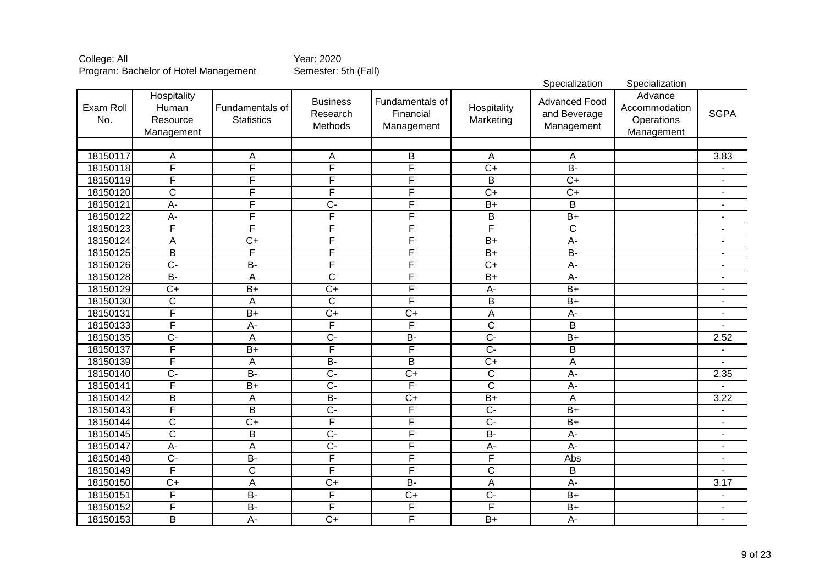|                  |                                                |                                      |                                        |                                            |                          | Specialization                                     | Specialization                                       |                          |
|------------------|------------------------------------------------|--------------------------------------|----------------------------------------|--------------------------------------------|--------------------------|----------------------------------------------------|------------------------------------------------------|--------------------------|
| Exam Roll<br>No. | Hospitality<br>Human<br>Resource<br>Management | Fundamentals of<br><b>Statistics</b> | <b>Business</b><br>Research<br>Methods | Fundamentals of<br>Financial<br>Management | Hospitality<br>Marketing | <b>Advanced Food</b><br>and Beverage<br>Management | Advance<br>Accommodation<br>Operations<br>Management | <b>SGPA</b>              |
|                  |                                                |                                      |                                        |                                            |                          |                                                    |                                                      |                          |
| 18150117         | A                                              | Α                                    | A                                      | B                                          | A                        | A                                                  |                                                      | 3.83                     |
| 18150118         | F                                              | F                                    | F                                      | F                                          | $\overline{C+}$          | $\overline{B}$                                     |                                                      |                          |
| 18150119         | F                                              | F                                    | F                                      | F                                          | $\overline{B}$           | $\overline{C+}$                                    |                                                      | -                        |
| 18150120         | $\overline{\text{c}}$                          | F                                    | F                                      | F                                          | $\overline{C+}$          | $\overline{C+}$                                    |                                                      | $\blacksquare$           |
| 18150121         | A-                                             | F                                    | $\overline{C}$                         | F                                          | $\overline{B+}$          | $\overline{B}$                                     |                                                      | $\blacksquare$           |
| 18150122         | $A -$                                          | F                                    | F                                      | F                                          | $\overline{B}$           | $\overline{B+}$                                    |                                                      | $\blacksquare$           |
| 18150123         | F                                              | F                                    | F                                      | F                                          | F                        | $\overline{\mathsf{C}}$                            |                                                      | $\blacksquare$           |
| 18150124         | A                                              | $\overline{C+}$                      | F                                      | F                                          | $B+$                     | $A -$                                              |                                                      | $\overline{a}$           |
| 18150125         | B                                              | F                                    | F                                      | F                                          | $\overline{B}$           | $\overline{B}$                                     |                                                      | ٠                        |
| 18150126         | $\overline{C}$                                 | $B -$                                | F                                      | F                                          | $\overline{C+}$          | $A -$                                              |                                                      | ٠                        |
| 18150128         | $B -$                                          | A                                    | $\overline{C}$                         | F                                          | $\overline{B+}$          | $\overline{A}$                                     |                                                      | $\blacksquare$           |
| 18150129         | $\overline{C+}$                                | $B+$                                 | $C+$                                   | F                                          | $A -$                    | $\overline{B+}$                                    |                                                      | $\blacksquare$           |
| 18150130         | $\overline{\text{c}}$                          | A                                    | $\overline{\mathsf{C}}$                | F                                          | $\overline{B}$           | $B+$                                               |                                                      |                          |
| 18150131         | F                                              | $B+$                                 | $C+$                                   | $\overline{C+}$                            | $\overline{A}$           | $\overline{A}$                                     |                                                      |                          |
| 18150133         | F                                              | $A -$                                | F                                      | F                                          | $\overline{\mathsf{C}}$  | $\overline{B}$                                     |                                                      |                          |
| 18150135         | $\overline{C}$                                 | $\overline{A}$                       | $\overline{C}$                         | $B -$                                      | $\overline{C}$           | $B+$                                               |                                                      | 2.52                     |
| 18150137         | F                                              | $\overline{B+}$                      | $\overline{\mathsf{F}}$                | F                                          | $\overline{C}$           | $\overline{B}$                                     |                                                      | $\blacksquare$           |
| 18150139         | F                                              | A                                    | $B -$                                  | $\overline{B}$                             | $\overline{C+}$          | $\overline{A}$                                     |                                                      |                          |
| 18150140         | $\overline{C}$                                 | $\overline{B}$                       | $\overline{C}$                         | $\overline{C+}$                            | $\overline{C}$           | A-                                                 |                                                      | 2.35                     |
| 18150141         | F                                              | $\overline{B+}$                      | $\overline{C}$                         | F                                          | $\overline{\text{c}}$    | A-                                                 |                                                      |                          |
| 18150142         | B                                              | A                                    | $B -$                                  | $\overline{C+}$                            | $\overline{B+}$          | A                                                  |                                                      | 3.22                     |
| 18150143         | F                                              | $\overline{B}$                       | $\overline{C}$                         | F                                          | $\overline{C}$           | $\overline{B+}$                                    |                                                      | $\blacksquare$           |
| 18150144         | $\mathsf{C}$                                   | $\overline{C+}$                      | F                                      | F                                          | $\overline{C}$           | $B+$                                               |                                                      | $\blacksquare$           |
| 18150145         | $\overline{C}$                                 | B                                    | $\overline{C}$                         | F                                          | $\overline{B}$           | A-                                                 |                                                      | $\blacksquare$           |
| 18150147         | $A -$                                          | A                                    | $\overline{C}$                         | F                                          | $A -$                    | $\overline{A}$                                     |                                                      | $\overline{\phantom{a}}$ |
| 18150148         | $\overline{C}$                                 | $B -$                                | F                                      | F                                          | $\overline{F}$           | Abs                                                |                                                      | $\overline{\phantom{a}}$ |
| 18150149         | F                                              | $\overline{\text{c}}$                | $\mathsf{F}$                           | F                                          | $\mathsf C$              | B                                                  |                                                      | ٠                        |
| 18150150         | $\overline{C}$                                 | A                                    | $\overline{C+}$                        | $B -$                                      | $\overline{A}$           | $\overline{A}$                                     |                                                      | 3.17                     |
| 18150151         | F                                              | $\overline{B}$                       | $\mathsf F$                            | $\overline{C}$                             | $\overline{C}$           | $B+$                                               |                                                      | $\blacksquare$           |
| 18150152         | F                                              | $B -$                                | $\overline{F}$                         | F                                          | F                        | $\overline{B+}$                                    |                                                      | $\blacksquare$           |
| 18150153         | $\overline{B}$                                 | $\overline{A}$                       | $\overline{C}$                         | F                                          | $\overline{B+}$          | A-                                                 |                                                      | ٠                        |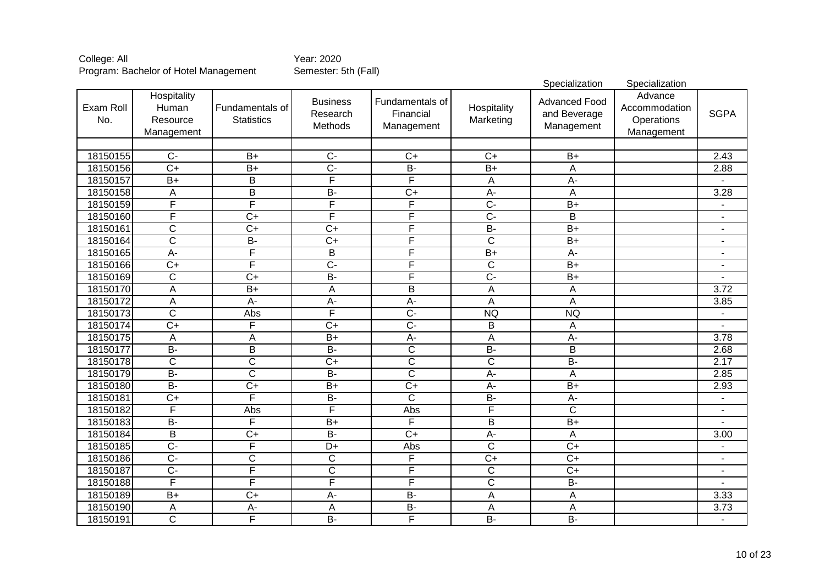|                  |                                                |                                      |                                        |                                            |                          | Specialization                                     | Specialization                                       |                          |
|------------------|------------------------------------------------|--------------------------------------|----------------------------------------|--------------------------------------------|--------------------------|----------------------------------------------------|------------------------------------------------------|--------------------------|
| Exam Roll<br>No. | Hospitality<br>Human<br>Resource<br>Management | Fundamentals of<br><b>Statistics</b> | <b>Business</b><br>Research<br>Methods | Fundamentals of<br>Financial<br>Management | Hospitality<br>Marketing | <b>Advanced Food</b><br>and Beverage<br>Management | Advance<br>Accommodation<br>Operations<br>Management | <b>SGPA</b>              |
|                  |                                                |                                      |                                        |                                            |                          |                                                    |                                                      |                          |
| 18150155         | $\overline{C}$                                 | $B+$                                 | $\overline{C}$                         | $C+$                                       | $C+$                     | $B+$                                               |                                                      | 2.43                     |
| 18150156         | $\overline{C+}$                                | $\overline{B+}$                      | $\overline{C}$ -                       | $\overline{B}$                             | $B+$                     | $\overline{A}$                                     |                                                      | 2.88                     |
| 18150157         | $B+$                                           | $\overline{B}$                       | $\overline{\mathsf{F}}$                | F                                          | A                        | $\overline{A}$                                     |                                                      |                          |
| 18150158         | A                                              | B                                    | $\overline{B}$                         | $\overline{C}$                             | $\overline{A}$           | A                                                  |                                                      | 3.28                     |
| 18150159         | F                                              | F                                    | F                                      | F                                          | $\overline{C}$           | $\overline{B+}$                                    |                                                      |                          |
| 18150160         | F                                              | $\overline{C+}$                      | F                                      | F                                          | $\overline{C}$           | $\overline{B}$                                     |                                                      | $\blacksquare$           |
| 18150161         | $\overline{\mathsf{C}}$                        | $\overline{C+}$                      | $\overline{C+}$                        | F                                          | $B -$                    | $\overline{B+}$                                    |                                                      | $\blacksquare$           |
| 18150164         | $\overline{\text{c}}$                          | $B -$                                | $\overline{C+}$                        | F                                          | $\overline{\text{c}}$    | $\overline{B+}$                                    |                                                      | $\blacksquare$           |
| 18150165         | $\overline{A}$ -                               | F                                    | $\overline{B}$                         | F                                          | $\overline{B+}$          | $\overline{A}$                                     |                                                      | $\blacksquare$           |
| 18150166         | $\overline{C+}$                                | F                                    | $\overline{C}$                         | F                                          | $\overline{\mathsf{C}}$  | $\overline{B+}$                                    |                                                      | $\blacksquare$           |
| 18150169         | $\overline{\text{c}}$                          | $\overline{C+}$                      | $\overline{B}$                         | F                                          | $\overline{C}$ -         | $\overline{B+}$                                    |                                                      |                          |
| 18150170         | $\overline{A}$                                 | $B+$                                 | $\overline{A}$                         | $\overline{\mathsf{B}}$                    | $\overline{A}$           | $\overline{A}$                                     |                                                      | 3.72                     |
| 18150172         | A                                              | $\overline{A}$ -                     | $A -$                                  | $\overline{A}$                             | A                        | A                                                  |                                                      | 3.85                     |
| 18150173         | $\overline{\text{c}}$                          | Abs                                  | F                                      | $\overline{C}$                             | <b>NQ</b>                | <b>NQ</b>                                          |                                                      |                          |
| 18150174         | $\overline{C+}$                                | F                                    | $\overline{C+}$                        | $\overline{C}$                             | B                        | A                                                  |                                                      |                          |
| 18150175         | A                                              | A                                    | $B+$                                   | $A -$                                      | $\overline{A}$           | $A -$                                              |                                                      | 3.78                     |
| 18150177         | $B -$                                          | B                                    | $B -$                                  | $\overline{C}$                             | $\overline{B}$           | B                                                  |                                                      | 2.68                     |
| 18150178         | $\overline{\text{c}}$                          | $\overline{\text{c}}$                | $\overline{C+}$                        | $\overline{\text{c}}$                      | $\overline{C}$           | $B -$                                              |                                                      | 2.17                     |
| 18150179         | $B -$                                          | $\overline{\text{c}}$                | $\overline{B}$                         | $\overline{\text{c}}$                      | $\overline{A}$ -         | A                                                  |                                                      | 2.85                     |
| 18150180         | $B -$                                          | $\overline{C+}$                      | $\overline{B+}$                        | $\overline{C}$                             | $A -$                    | $B+$                                               |                                                      | 2.93                     |
| 18150181         | $\overline{C+}$                                | F                                    | $B -$                                  | $\overline{C}$                             | $\overline{B}$           | $A-$                                               |                                                      | $\blacksquare$           |
| 18150182         | F                                              | Abs                                  | $\overline{\mathsf{F}}$                | Abs                                        | F                        | C                                                  |                                                      | $\blacksquare$           |
| 18150183         | $B -$                                          | F                                    | $\overline{B+}$                        | F                                          | $\overline{B}$           | $\overline{B+}$                                    |                                                      |                          |
| 18150184         | B                                              | $\overline{C+}$                      | $\overline{B}$                         | $\overline{C}$                             | $\overline{A}$           | A                                                  |                                                      | 3.00                     |
| 18150185         | $\overline{C}$                                 | F                                    | $\overline{D+}$                        | Abs                                        | $\overline{\text{c}}$    | $\overline{C+}$                                    |                                                      | $\overline{\phantom{a}}$ |
| 18150186         | $\overline{C}$                                 | $\overline{\text{C}}$                | $\overline{\text{c}}$                  | F                                          | $\overline{C+}$          | $\overline{C}$                                     |                                                      | $\blacksquare$           |
| 18150187         | $\overline{C}$                                 | F                                    | $\overline{\text{c}}$                  | F                                          | $\overline{C}$           | $C+$                                               |                                                      | $\blacksquare$           |
| 18150188         | $\overline{\mathsf{F}}$                        | F                                    | F                                      | F                                          | $\overline{C}$           | $\overline{B}$                                     |                                                      | $\blacksquare$           |
| 18150189         | $B+$                                           | $C+$                                 | A-                                     | <b>B-</b>                                  | A                        | A                                                  |                                                      | 3.33                     |
| 18150190         | Α                                              | $A-$                                 | A                                      | $B -$                                      | A                        | A                                                  |                                                      | 3.73                     |
| 18150191         | $\overline{C}$                                 | F                                    | $\overline{B}$                         | F                                          | $B -$                    | $B -$                                              |                                                      | $\blacksquare$           |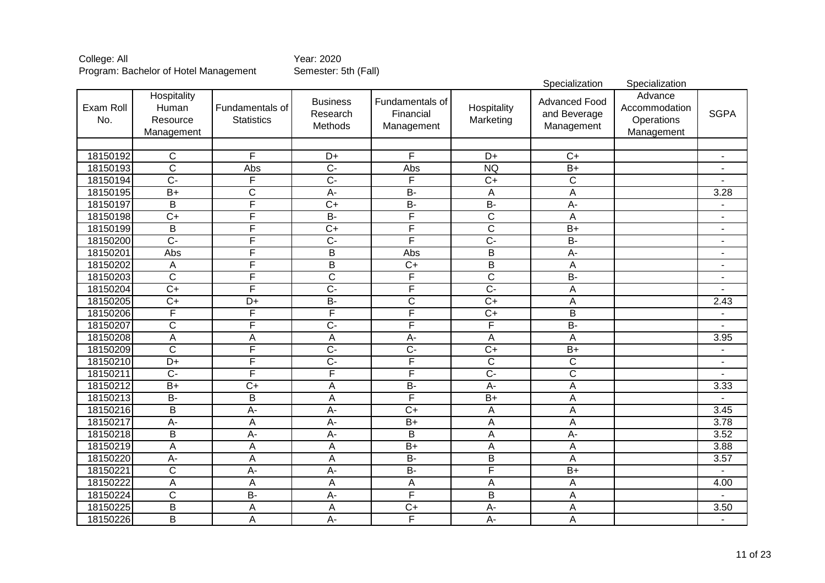|                  |                                                |                                      |                                        |                                            |                           | Specialization                                     | Specialization                                       |                          |
|------------------|------------------------------------------------|--------------------------------------|----------------------------------------|--------------------------------------------|---------------------------|----------------------------------------------------|------------------------------------------------------|--------------------------|
| Exam Roll<br>No. | Hospitality<br>Human<br>Resource<br>Management | Fundamentals of<br><b>Statistics</b> | <b>Business</b><br>Research<br>Methods | Fundamentals of<br>Financial<br>Management | Hospitality<br>Marketing  | <b>Advanced Food</b><br>and Beverage<br>Management | Advance<br>Accommodation<br>Operations<br>Management | <b>SGPA</b>              |
|                  |                                                |                                      |                                        |                                            |                           |                                                    |                                                      |                          |
| 18150192         | $\overline{C}$                                 | F                                    | $D+$                                   | F                                          | $D+$                      | $\overline{C+}$                                    |                                                      |                          |
| 18150193         | ਟ                                              | Abs                                  | $\overline{C}$                         | Abs                                        | <b>NQ</b>                 | $\overline{B+}$                                    |                                                      |                          |
| 18150194         | $\overline{C}$ -                               | F                                    | $\overline{C}$                         | F                                          | $\overline{C+}$           | $\overline{\text{c}}$                              |                                                      |                          |
| 18150195         | $B+$                                           | $\overline{\text{c}}$                | $\overline{A}$                         | $B -$                                      | A                         | $\overline{A}$                                     |                                                      | 3.28                     |
| 18150197         | $\overline{B}$                                 | F                                    | $\overline{C+}$                        | $B -$                                      | $B -$                     | $\overline{A}$ -                                   |                                                      |                          |
| 18150198         | $\overline{C+}$                                | F                                    | $\overline{B}$                         | F                                          | $\overline{\mathsf{C}}$   | A                                                  |                                                      | $\blacksquare$           |
| 18150199         | $\overline{\mathsf{B}}$                        | F                                    | $\overline{C+}$                        | F                                          | $\overline{\text{c}}$     | $\overline{B+}$                                    |                                                      | $\blacksquare$           |
| 18150200         | $\overline{C}$                                 | F                                    | $\overline{C}$                         | F                                          | $\overline{C}$ -          | $B -$                                              |                                                      | $\overline{\phantom{a}}$ |
| 18150201         | Abs                                            | F                                    | $\overline{\mathsf{B}}$                | Abs                                        | $\overline{B}$            | $A -$                                              |                                                      | $\overline{a}$           |
| 18150202         | Α                                              | F                                    | $\overline{\mathsf{B}}$                | $\overline{C}$                             | $\overline{B}$            | A                                                  |                                                      | $\blacksquare$           |
| 18150203         | $\overline{\text{c}}$                          | F                                    | $\overline{\text{c}}$                  | F                                          | $\overline{\mathsf{C}}$   | $B -$                                              |                                                      | $\overline{\phantom{a}}$ |
| 18150204         | $\overline{C+}$                                | F                                    | $\overline{C}$                         | F                                          | $\overline{C}$ -          | A                                                  |                                                      |                          |
| 18150205         | $\overline{C}$                                 | D+                                   | $\overline{B}$                         | $\overline{\text{C}}$                      | $\overline{C+}$           | A                                                  |                                                      | 2.43                     |
| 18150206         | F                                              | F                                    | F                                      | F                                          | $\overline{C+}$           | $\overline{\mathsf{B}}$                            |                                                      |                          |
| 18150207         | $\overline{\text{c}}$                          | F                                    | $\overline{C}$                         | F                                          | F                         | $B -$                                              |                                                      |                          |
| 18150208         | A                                              | A                                    | A                                      | $A -$                                      | A                         | A                                                  |                                                      | 3.95                     |
| 18150209         | $\overline{C}$                                 | F                                    | $\overline{C}$                         | $\overline{C}$                             | $\overline{C+}$           | $B+$                                               |                                                      | $\blacksquare$           |
| 18150210         | $\overline{D+}$                                | F                                    | $\overline{C}$                         | F                                          | $\overline{C}$            | $\mathsf{C}$                                       |                                                      |                          |
| 18150211         | $\overline{C}$                                 | F                                    | F                                      | F                                          | $\overline{C}$            | $\overline{\text{c}}$                              |                                                      |                          |
| 18150212         | $\overline{B+}$                                | $\overline{C+}$                      | $\mathsf A$                            | $B -$                                      | $\overline{A}$            | A                                                  |                                                      | 3.33                     |
| 18150213         | $\overline{B}$                                 | B                                    | A                                      | F                                          | $B+$                      | A                                                  |                                                      |                          |
| 18150216         | $\overline{B}$                                 | $\overline{A}$                       | $A -$                                  | $\overline{C+}$                            | $\boldsymbol{\mathsf{A}}$ | A                                                  |                                                      | $\frac{1}{3.45}$         |
| 18150217         | $A -$                                          | A                                    | $\overline{A}$                         | $\overline{B+}$                            | A                         | A                                                  |                                                      | 3.78                     |
| 18150218         | B                                              | $A -$                                | $\overline{A}$                         | $\overline{B}$                             | $\mathsf A$               | $\overline{A}$                                     |                                                      | 3.52                     |
| 18150219         | A                                              | A                                    | A                                      | $B+$                                       | $\mathsf A$               | A                                                  |                                                      | 3.88                     |
| 18150220         | $A -$                                          | A                                    | A                                      | $\overline{B}$                             | B                         | A                                                  |                                                      | 3.57                     |
| 18150221         | $\overline{C}$                                 | $A -$                                | $\overline{A}$                         | $B -$                                      | $\overline{\mathsf{F}}$   | $\overline{B+}$                                    |                                                      |                          |
| 18150222         | A                                              | Α                                    | A                                      | Α                                          | A                         | Α                                                  |                                                      | 4.00                     |
| 18150224         | C                                              | <b>B-</b>                            | $A -$                                  | F                                          | B                         | A                                                  |                                                      | ÷,                       |
| 18150225         | B                                              | A                                    | A                                      | $C+$                                       | $A -$                     | A                                                  |                                                      | 3.50                     |
| 18150226         | $\overline{B}$                                 | A                                    | $\overline{A}$                         | F                                          | $\overline{A}$            | A                                                  |                                                      | $\blacksquare$           |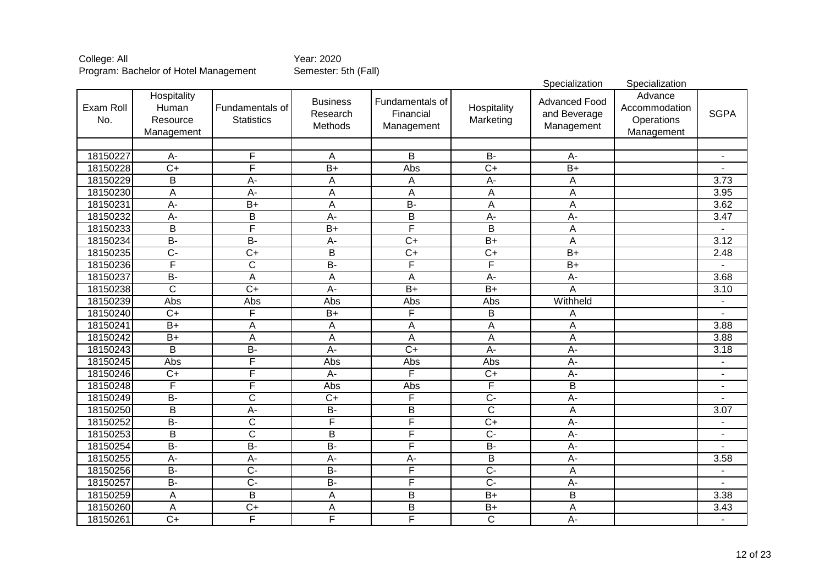|                  |                                                |                                      |                                        |                                            |                          | Specialization                                     | Specialization                                       |                          |
|------------------|------------------------------------------------|--------------------------------------|----------------------------------------|--------------------------------------------|--------------------------|----------------------------------------------------|------------------------------------------------------|--------------------------|
| Exam Roll<br>No. | Hospitality<br>Human<br>Resource<br>Management | Fundamentals of<br><b>Statistics</b> | <b>Business</b><br>Research<br>Methods | Fundamentals of<br>Financial<br>Management | Hospitality<br>Marketing | <b>Advanced Food</b><br>and Beverage<br>Management | Advance<br>Accommodation<br>Operations<br>Management | <b>SGPA</b>              |
|                  |                                                |                                      |                                        |                                            |                          |                                                    |                                                      |                          |
| 18150227         | $\overline{A}$                                 | F                                    | A                                      | $\overline{B}$                             | $\overline{B}$           | A-                                                 |                                                      |                          |
| 18150228         | $\overline{C}$                                 | F                                    | $\overline{B}$                         | Abs                                        | $\overline{C+}$          | $\overline{B+}$                                    |                                                      |                          |
| 18150229         | $\overline{\mathsf{B}}$                        | $A-$                                 | A                                      | A                                          | $\overline{A}$ -         | A                                                  |                                                      | 3.73                     |
| 18150230         | A                                              | $\overline{A}$                       | A                                      | A                                          | A                        | A                                                  |                                                      | 3.95                     |
| 18150231         | $A -$                                          | $\overline{B+}$                      | $\overline{A}$                         | $B -$                                      | $\overline{A}$           | $\overline{A}$                                     |                                                      | 3.62                     |
| 18150232         | $\overline{A}$                                 | $\overline{B}$                       | $\overline{A}$                         | $\overline{\mathsf{B}}$                    | $\overline{A}$           | $\overline{A}$                                     |                                                      | 3.47                     |
| 18150233         | $\overline{B}$                                 | F                                    | $\overline{B+}$                        | F                                          | $\overline{B}$           | Α                                                  |                                                      |                          |
| 18150234         | $B -$                                          | $\overline{B}$                       | $\overline{A}$                         | $\overline{C+}$                            | $\overline{B+}$          | A                                                  |                                                      | 3.12                     |
| 18150235         | $\overline{C}$                                 | $\overline{C+}$                      | $\overline{B}$                         | $\overline{C+}$                            | $\overline{C+}$          | $\overline{B+}$                                    |                                                      | 2.48                     |
| 18150236         | F                                              | $\overline{\text{c}}$                | $\overline{B}$                         | F                                          | F                        | $\overline{B+}$                                    |                                                      |                          |
| 18150237         | $B -$                                          | $\overline{A}$                       | A                                      | $\overline{A}$                             | $\overline{A}$ -         | $\overline{A}$ -                                   |                                                      | 3.68                     |
| 18150238         | $\overline{C}$                                 | $\overline{C+}$                      | $\overline{A}$                         | $\overline{B+}$                            | $\overline{B}$           | Α                                                  |                                                      | 3.10                     |
| 18150239         | Abs                                            | Abs                                  | Abs                                    | Abs                                        | Abs                      | Withheld                                           |                                                      |                          |
| 18150240         | $\overline{C}$                                 | F                                    | $\overline{B+}$                        | F                                          | B                        | A                                                  |                                                      |                          |
| 18150241         | $B+$                                           | A                                    | A                                      | $\overline{A}$                             | $\overline{A}$           | $\overline{A}$                                     |                                                      | 3.88                     |
| 18150242         | $B+$                                           | A                                    | A                                      | $\overline{A}$                             | $\overline{A}$           | $\overline{A}$                                     |                                                      | 3.88                     |
| 18150243         | B                                              | $\overline{B}$                       | $\overline{A}$                         | $\overline{C+}$                            | A-                       | $A -$                                              |                                                      | 3.18                     |
| 18150245         | Abs                                            | F                                    | Abs                                    | Abs                                        | Abs                      | $\overline{A}$                                     |                                                      | $\blacksquare$           |
| 18150246         | $C+$                                           | F                                    | $A -$                                  | F                                          | $C+$                     | A-                                                 |                                                      |                          |
| 18150248         | $\overline{\mathsf{F}}$                        | F                                    | Abs                                    | Abs                                        | F                        | $\overline{B}$                                     |                                                      |                          |
| 18150249         | $\overline{B}$                                 | $\overline{\text{C}}$                | $\overline{C+}$                        | F                                          | $\overline{C}$ -         | $\overline{A}$                                     |                                                      |                          |
| 18150250         | B                                              | $A -$                                | $B -$                                  | $\overline{B}$                             | $\overline{c}$           | A                                                  |                                                      | 3.07                     |
| 18150252         | $\overline{B}$                                 | $\overline{\text{C}}$                | $\overline{F}$                         | F                                          | $\overline{C+}$          | A-                                                 |                                                      | $\overline{\phantom{a}}$ |
| 18150253         | B                                              | $\overline{C}$                       | B                                      | F                                          | $\overline{C}$           | A-                                                 |                                                      |                          |
| 18150254         | $B -$                                          | $B -$                                | $\overline{B}$                         | F                                          | $B -$                    | A-                                                 |                                                      |                          |
| 18150255         | $A -$                                          | $A -$                                | $\overline{A}$                         | A-                                         | $\overline{B}$           | A-                                                 |                                                      | 3.58                     |
| 18150256         | $\overline{B}$                                 | $\overline{C}$                       | $B -$                                  | F                                          | $\overline{C}$           | A                                                  |                                                      | $\overline{a}$           |
| 18150257         | $\overline{B}$                                 | $\overline{C}$                       | $\overline{B}$                         | F                                          | $\overline{C}$           | A-                                                 |                                                      | $\blacksquare$           |
| 18150259         | A                                              | B                                    | A                                      | B                                          | $B+$                     | B                                                  |                                                      | 3.38                     |
| 18150260         | A                                              | $\overline{C+}$                      | A                                      | $\overline{\mathsf{B}}$                    | $B+$                     | A                                                  |                                                      | 3.43                     |
| 18150261         | $\overline{C}$                                 | F                                    | F                                      | F                                          | $\overline{C}$           | $\overline{A}$ -                                   |                                                      | $\blacksquare$           |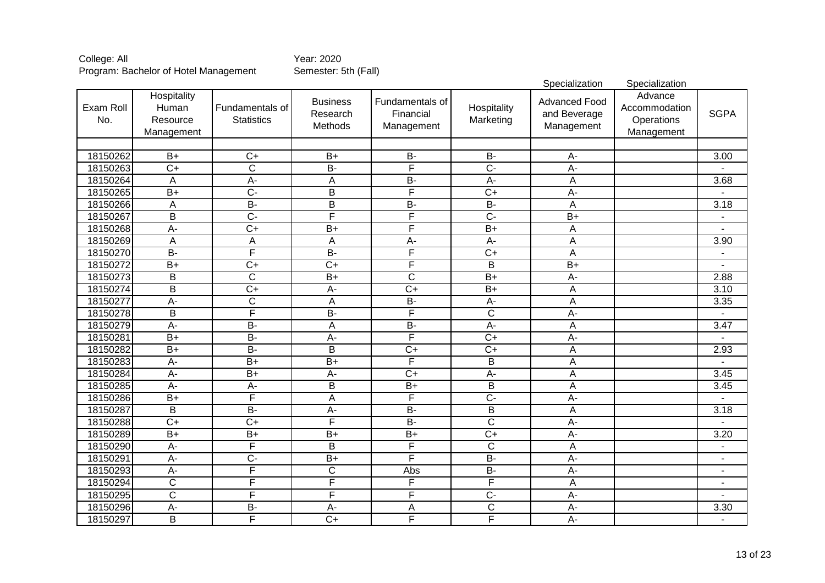|                  |                                                |                                      |                                        |                                            |                          | Specialization                                     | Specialization                                       |                |
|------------------|------------------------------------------------|--------------------------------------|----------------------------------------|--------------------------------------------|--------------------------|----------------------------------------------------|------------------------------------------------------|----------------|
| Exam Roll<br>No. | Hospitality<br>Human<br>Resource<br>Management | Fundamentals of<br><b>Statistics</b> | <b>Business</b><br>Research<br>Methods | Fundamentals of<br>Financial<br>Management | Hospitality<br>Marketing | <b>Advanced Food</b><br>and Beverage<br>Management | Advance<br>Accommodation<br>Operations<br>Management | <b>SGPA</b>    |
|                  |                                                |                                      |                                        |                                            |                          |                                                    |                                                      |                |
| 18150262         | $\overline{B+}$                                | $\overline{C}$                       | $\overline{B+}$                        | $\overline{B}$                             | $\overline{B}$           | A-                                                 |                                                      | 3.00           |
| 18150263         | $\overline{C}$                                 | $\overline{\text{c}}$                | $B -$                                  | F                                          | $\overline{C}$ -         | $\overline{A}$ -                                   |                                                      |                |
| 18150264         | A                                              | $A -$                                | A                                      | $B -$                                      | $A -$                    | A                                                  |                                                      | 3.68           |
| 18150265         | $\overline{B+}$                                | $\overline{C}$                       | $\overline{B}$                         | F                                          | $\overline{C+}$          | $\overline{A}$                                     |                                                      |                |
| 18150266         | A                                              | $B -$                                | $\overline{\mathsf{B}}$                | $B -$                                      | $\overline{B}$           | $\overline{A}$                                     |                                                      | 3.18           |
| 18150267         | $\overline{B}$                                 | $\overline{C}$                       | F                                      | F                                          | $\overline{C}$ -         | $\overline{B+}$                                    |                                                      |                |
| 18150268         | $A -$                                          | $\overline{C+}$                      | $\overline{B+}$                        | F                                          | $\overline{B+}$          | A                                                  |                                                      |                |
| 18150269         | A                                              | A                                    | A                                      | $\overline{A}$                             | $\overline{A}$ -         | A                                                  |                                                      | 3.90           |
| 18150270         | $B -$                                          | F                                    | $\overline{B}$                         | F                                          | $\overline{C+}$          | $\overline{A}$                                     |                                                      |                |
| 18150272         | $B+$                                           | $\overline{C+}$                      | $\overline{C+}$                        | F                                          | $\overline{B}$           | $\overline{B+}$                                    |                                                      |                |
| 18150273         | $\overline{B}$                                 | $\overline{\text{c}}$                | $\overline{B+}$                        | $\overline{\text{C}}$                      | $\overline{B}$           | $\overline{A}$ -                                   |                                                      | 2.88           |
| 18150274         | $\overline{B}$                                 | $\overline{C+}$                      | $A -$                                  | $\overline{C}$                             | $\overline{B+}$          | A                                                  |                                                      | 3.10           |
| 18150277         | $\overline{A}$                                 | $\overline{\mathsf{C}}$              | A                                      | $B -$                                      | $\overline{A}$ -         | A                                                  |                                                      | 3.35           |
| 18150278         | B                                              | F                                    | $\overline{B}$                         | F                                          | $\overline{C}$           | $\overline{A}$                                     |                                                      |                |
| 18150279         | $A -$                                          | $B -$                                | $\overline{A}$                         | $B -$                                      | $A -$                    | $\overline{A}$                                     |                                                      | 3.47           |
| 18150281         | $B+$                                           | $B -$                                | $A -$                                  | F                                          | $\overline{C+}$          | $\overline{A}$                                     |                                                      |                |
| 18150282         | $B+$                                           | $B -$                                | B                                      | $\overline{C+}$                            | $\overline{C+}$          | A                                                  |                                                      | 2.93           |
| 18150283         | $A-$                                           | $\overline{B+}$                      | $B+$                                   | F                                          | B                        | A                                                  |                                                      |                |
| 18150284         | $A -$                                          | $\overline{B+}$                      | $A -$                                  | $\overline{C}$                             | A-                       | A                                                  |                                                      | 3.45           |
| 18150285         | $A -$                                          | $A -$                                | B                                      | $\overline{B+}$                            | B                        | A                                                  |                                                      | 3.45           |
| 18150286         | $\overline{B+}$                                | F                                    | $\mathsf A$                            | F                                          | $\overline{C}$ -         | $\overline{A}$                                     |                                                      |                |
| 18150287         | B                                              | $\overline{B}$                       | $A -$                                  | $B -$                                      | B                        | A                                                  |                                                      | 3.18           |
| 18150288         | $\overline{C+}$                                | $\overline{C+}$                      | $\overline{\mathsf{F}}$                | $B -$                                      | $\overline{\text{c}}$    | A-                                                 |                                                      |                |
| 18150289         | $B+$                                           | $B+$                                 | $\overline{B+}$                        | $\overline{B+}$                            | $\overline{C+}$          | A-                                                 |                                                      | 3.20           |
| 18150290         | $A -$                                          | F                                    | $\overline{B}$                         | F                                          | $\overline{C}$           | A                                                  |                                                      |                |
| 18150291         | $A -$                                          | $\overline{C}$                       | $\overline{B+}$                        | F                                          | $B -$                    | A-                                                 |                                                      | $\blacksquare$ |
| 18150293         | $A -$                                          | F                                    | $\overline{C}$                         | Abs                                        | $B -$                    | A-                                                 |                                                      | -              |
| 18150294         | $\overline{\text{c}}$                          | F                                    | $\bar{F}$                              | F                                          | F                        | Α                                                  |                                                      | $\blacksquare$ |
| 18150295         | C                                              | F                                    | $\overline{F}$                         | F                                          | $\overline{C}$           | A-                                                 |                                                      | $\blacksquare$ |
| 18150296         | $A -$                                          | $\overline{B}$                       | $A -$                                  | Α                                          | $\overline{C}$           | $A -$                                              |                                                      | 3.30           |
| 18150297         | $\overline{B}$                                 | F                                    | $\overline{C+}$                        | F                                          | F                        | $\overline{A}$ -                                   |                                                      | $\blacksquare$ |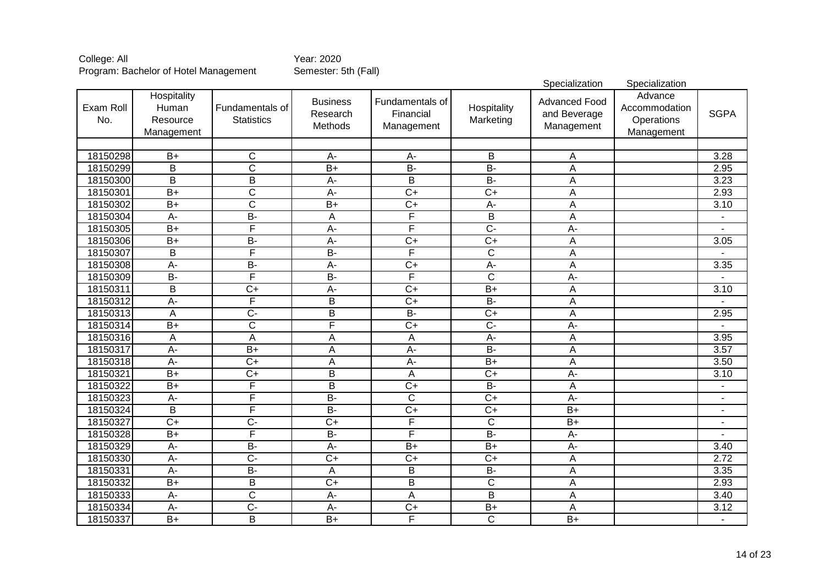|                  |                                                |                                      |                                        |                                            |                          | Specialization                                     | Specialization                                       |                          |
|------------------|------------------------------------------------|--------------------------------------|----------------------------------------|--------------------------------------------|--------------------------|----------------------------------------------------|------------------------------------------------------|--------------------------|
| Exam Roll<br>No. | Hospitality<br>Human<br>Resource<br>Management | Fundamentals of<br><b>Statistics</b> | <b>Business</b><br>Research<br>Methods | Fundamentals of<br>Financial<br>Management | Hospitality<br>Marketing | <b>Advanced Food</b><br>and Beverage<br>Management | Advance<br>Accommodation<br>Operations<br>Management | <b>SGPA</b>              |
|                  |                                                |                                      |                                        |                                            |                          |                                                    |                                                      |                          |
| 18150298         | $\overline{B+}$                                | C                                    | $A -$                                  | A-                                         | B                        | A                                                  |                                                      | 3.28                     |
| 18150299         | $\overline{\mathsf{B}}$                        | $\overline{\text{c}}$                | $B+$                                   | $\overline{B}$                             | $\overline{B}$           | $\overline{\mathsf{A}}$                            |                                                      | 2.95                     |
| 18150300         | $\overline{\mathsf{B}}$                        | $\overline{B}$                       | $\overline{A}$ -                       | $\overline{\mathsf{B}}$                    | $B -$                    | A                                                  |                                                      | 3.23                     |
| 18150301         | $\overline{B+}$                                | $\overline{\text{c}}$                | A-                                     | $\overline{C}$                             | $\overline{C+}$          | Α                                                  |                                                      | 2.93                     |
| 18150302         | $B+$                                           | $\overline{\text{c}}$                | $B+$                                   | $\overline{C+}$                            | $\overline{A}$           | Α                                                  |                                                      | 3.10                     |
| 18150304         | $\overline{A}$                                 | $B -$                                | A                                      | F                                          | $\overline{B}$           | A                                                  |                                                      |                          |
| 18150305         | $\overline{B+}$                                | F                                    | $A -$                                  | F                                          | $\overline{C}$           | $\overline{A}$                                     |                                                      |                          |
| 18150306         | $\overline{B+}$                                | $\overline{B}$                       | $\overline{A}$                         | $\overline{C+}$                            | $\overline{C+}$          | A                                                  |                                                      | 3.05                     |
| 18150307         | $\overline{\mathsf{B}}$                        | F                                    | $B -$                                  | F                                          | $\overline{\mathsf{C}}$  | A                                                  |                                                      |                          |
| 18150308         | $A -$                                          | $B -$                                | $\overline{A}$                         | $\overline{C+}$                            | $\overline{A}$           | $\overline{A}$                                     |                                                      | 3.35                     |
| 18150309         | $B -$                                          | F                                    | $\overline{B}$                         | F                                          | ਟ                        | $A -$                                              |                                                      |                          |
| 18150311         | $\overline{\mathsf{B}}$                        | $\overline{C}$                       | $A -$                                  | $\overline{C+}$                            | $B+$                     | $\overline{A}$                                     |                                                      | 3.10                     |
| 18150312         | $\overline{A}$ -                               | F                                    | B                                      | $\overline{C}$                             | $\overline{B}$           | A                                                  |                                                      |                          |
| 18150313         | A                                              | $\overline{C}$                       | $\overline{B}$                         | $B -$                                      | $\overline{C+}$          | A                                                  |                                                      | 2.95                     |
| 18150314         | $\overline{B+}$                                | $\overline{\text{C}}$                | F                                      | $\overline{C+}$                            | $\overline{C}$           | $\overline{A}$                                     |                                                      |                          |
| 18150316         | A                                              | $\overline{A}$                       | A                                      | $\overline{A}$                             | $A -$                    | $\overline{\mathsf{A}}$                            |                                                      | 3.95                     |
| 18150317         | A-                                             | $\overline{B+}$                      | A                                      | $\overline{A}$                             | $\overline{B}$           | A                                                  |                                                      | 3.57                     |
| 18150318         | A-                                             | $\overline{C+}$                      | A                                      | A-                                         | $B+$                     | A                                                  |                                                      | 3.50                     |
| 18150321         | $B+$                                           | $\overline{C+}$                      | $\overline{B}$                         | A                                          | $\overline{C+}$          | $\overline{A}$ -                                   |                                                      | 3.10                     |
| 18150322         | $B+$                                           | F                                    | B                                      | $\overline{C}$                             | <b>B-</b>                | А                                                  |                                                      | $\overline{\phantom{a}}$ |
| 18150323         | $A-$                                           | F                                    | $B -$                                  | $\overline{C}$                             | $\overline{C+}$          | $A -$                                              |                                                      |                          |
| 18150324         | B                                              | F                                    | $B -$                                  | $\overline{C+}$                            | $\overline{C+}$          | $\overline{B+}$                                    |                                                      | $\blacksquare$           |
| 18150327         | $\overline{C+}$                                | $\overline{C}$                       | $\overline{C+}$                        | F                                          | $\overline{C}$           | $\overline{B+}$                                    |                                                      | $\blacksquare$           |
| 18150328         | $\overline{B+}$                                | F                                    | $\overline{B}$                         | F                                          | $\overline{B}$           | A-                                                 |                                                      |                          |
| 18150329         | $A -$                                          | $B -$                                | $A -$                                  | $\overline{B+}$                            | $B+$                     | $\overline{A}$                                     |                                                      | 3.40                     |
| 18150330         | A-                                             | $\overline{C}$                       | $\overline{C}$                         | $\overline{C}$                             | $\overline{C+}$          | A                                                  |                                                      | 2.72                     |
| 18150331         | A-                                             | $\overline{B}$                       | A                                      | B                                          | <b>B-</b>                | А                                                  |                                                      | 3.35                     |
| 18150332         | $B+$                                           | B                                    | $\overline{C+}$                        | $\overline{\mathsf{B}}$                    | $\overline{C}$           | A                                                  |                                                      | 2.93                     |
| 18150333         | А-                                             | C                                    | $A -$                                  | A                                          | B                        | A                                                  |                                                      | 3.40                     |
| 18150334         | $A-$                                           | $\overline{C}$                       | A-                                     | $C+$                                       | $B+$                     | A                                                  |                                                      | 3.12                     |
| 18150337         | $\overline{B+}$                                | $\overline{B}$                       | $\overline{B+}$                        | F                                          | $\overline{C}$           | $\overline{B+}$                                    |                                                      | $\blacksquare$           |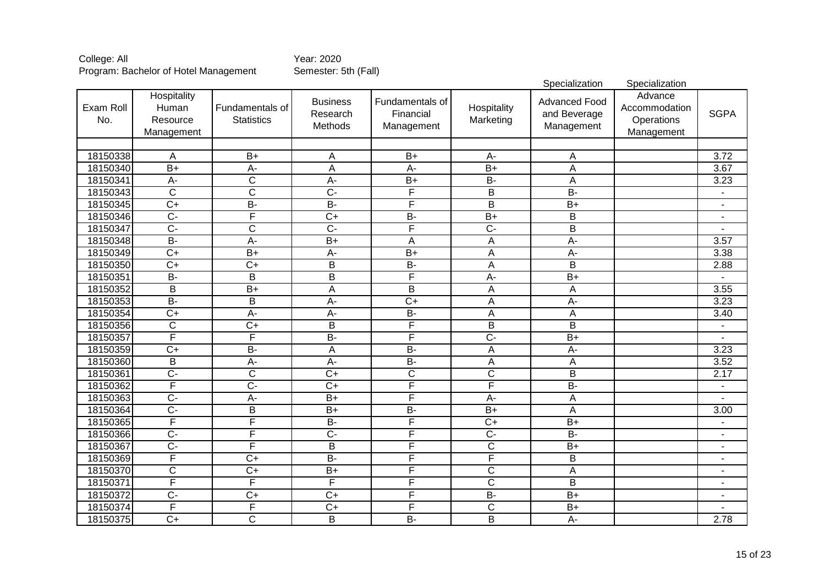|                  |                                                |                                      |                                        |                                            |                          | Specialization                                     | Specialization                                       |                          |
|------------------|------------------------------------------------|--------------------------------------|----------------------------------------|--------------------------------------------|--------------------------|----------------------------------------------------|------------------------------------------------------|--------------------------|
| Exam Roll<br>No. | Hospitality<br>Human<br>Resource<br>Management | Fundamentals of<br><b>Statistics</b> | <b>Business</b><br>Research<br>Methods | Fundamentals of<br>Financial<br>Management | Hospitality<br>Marketing | <b>Advanced Food</b><br>and Beverage<br>Management | Advance<br>Accommodation<br>Operations<br>Management | <b>SGPA</b>              |
|                  |                                                |                                      |                                        |                                            |                          |                                                    |                                                      |                          |
| 18150338         | A                                              | $\overline{B+}$                      | $\overline{A}$                         | $\overline{B+}$                            | $\overline{A}$           | A                                                  |                                                      | 3.72                     |
| 18150340         | $B+$                                           | $A -$                                | $\overline{A}$                         | $A -$                                      | $\overline{B+}$          | A                                                  |                                                      | 3.67                     |
| 18150341         | $\overline{A}$                                 | $\overline{\text{c}}$                | $\overline{A}$ -                       | $\overline{B+}$                            | $\overline{B}$           | A                                                  |                                                      | 3.23                     |
| 18150343         | $\overline{\mathsf{C}}$                        | $\overline{\text{c}}$                | $\overline{C}$                         | F                                          | $\overline{B}$           | $B -$                                              |                                                      |                          |
| 18150345         | $\overline{C+}$                                | $B -$                                | $B -$                                  | F                                          | $\overline{\mathsf{B}}$  | $\overline{B+}$                                    |                                                      | $\blacksquare$           |
| 18150346         | $\overline{C}$                                 | F                                    | $\overline{C+}$                        | $B -$                                      | $\overline{B+}$          | $\overline{B}$                                     |                                                      | $\blacksquare$           |
| 18150347         | $\overline{C}$                                 | $\overline{\text{c}}$                | $\overline{C}$                         | F                                          | $\overline{C}$           | $\overline{\mathsf{B}}$                            |                                                      |                          |
| 18150348         | $\overline{B}$                                 | $\overline{A}$                       | $\overline{B+}$                        | A                                          | $\overline{A}$           | $A -$                                              |                                                      | 3.57                     |
| 18150349         | $\overline{C+}$                                | $\overline{B+}$                      | $A -$                                  | $B+$                                       | $\overline{A}$           | $A -$                                              |                                                      | 3.38                     |
| 18150350         | $\overline{C}$                                 | $\overline{C+}$                      | $\overline{B}$                         | $\overline{B}$                             | A                        | $\overline{B}$                                     |                                                      | 2.88                     |
| 18150351         | $\overline{B}$                                 | B                                    | $\overline{B}$                         | F                                          | $A -$                    | $\overline{B+}$                                    |                                                      |                          |
| 18150352         | B                                              | $\overline{B+}$                      | A                                      | $\overline{B}$                             | A                        | A                                                  |                                                      | 3.55                     |
| 18150353         | $B -$                                          | $\overline{\mathsf{B}}$              | $A -$                                  | $\overline{C+}$                            | $\overline{A}$           | $A -$                                              |                                                      | 3.23                     |
| 18150354         | $\overline{C+}$                                | $\overline{A}$ -                     | $\overline{A}$                         | $B -$                                      | $\overline{A}$           | A                                                  |                                                      | 3.40                     |
| 18150356         | $\overline{C}$                                 | $\overline{C+}$                      | $\overline{B}$                         | F                                          | $\overline{B}$           | $\overline{\mathsf{B}}$                            |                                                      | $\blacksquare$           |
| 18150357         | F                                              | F                                    | $\overline{B}$                         | F                                          | $\overline{C}$           | $\overline{B+}$                                    |                                                      |                          |
| 18150359         | $\overline{C+}$                                | $B -$                                | A                                      | $B -$                                      | $\mathsf A$              | $A -$                                              |                                                      | 3.23                     |
| 18150360         | B                                              | $A -$                                | $A -$                                  | $B -$                                      | $\overline{A}$           | A                                                  |                                                      | 3.52                     |
| 18150361         | $\overline{C}$                                 | $\overline{C}$                       | $\overline{C}$                         | $\overline{C}$                             | $\overline{C}$           | $\overline{B}$                                     |                                                      | 2.17                     |
| 18150362         | $\overline{\mathsf{F}}$                        | $\overline{C}$                       | $\overline{C+}$                        | F                                          | F                        | $\overline{B}$                                     |                                                      | $\blacksquare$           |
| 18150363         | $\overline{C}$                                 | $A -$                                | $\overline{B+}$                        | F                                          | $\overline{A}$           | A                                                  |                                                      | $\blacksquare$           |
| 18150364         | $\overline{C}$                                 | B                                    | $B+$                                   | $\overline{B}$                             | $B+$                     | A                                                  |                                                      | 3.00                     |
| 18150365         | F                                              | F                                    | $\overline{B}$                         | F                                          | $\overline{C}$           | $\overline{B+}$                                    |                                                      | $\blacksquare$           |
| 18150366         | $C -$                                          | F                                    | $\overline{C}$                         | F                                          | $C -$                    | <b>B-</b>                                          |                                                      | $\blacksquare$           |
| 18150367         | $\overline{C}$                                 | F                                    | $\overline{B}$                         | F                                          | $\overline{C}$           | $\overline{B+}$                                    |                                                      | $\blacksquare$           |
| 18150369         | F                                              | $\overline{C+}$                      | $\overline{B}$                         | F                                          | F                        | B                                                  |                                                      | $\blacksquare$           |
| 18150370         | $\mathsf C$                                    | $\overline{C+}$                      | $\overline{B+}$                        | F                                          | $\mathsf C$              | A                                                  |                                                      | $\blacksquare$           |
| 18150371         | F                                              | F                                    | F                                      | F                                          | $\mathsf C$              | B                                                  |                                                      | $\overline{\phantom{a}}$ |
| 18150372         | $\overline{C}$                                 | $\overline{C+}$                      | $\overline{C}$                         | F                                          | $\overline{B}$           | $\overline{B+}$                                    |                                                      | $\blacksquare$           |
| 18150374         | F                                              | F                                    | $C+$                                   | F                                          | $\mathsf C$              | $B+$                                               |                                                      |                          |
| 18150375         | $\overline{C}$                                 | $\overline{\text{c}}$                | B                                      | $\overline{B}$                             | $\overline{B}$           | A-                                                 |                                                      | 2.78                     |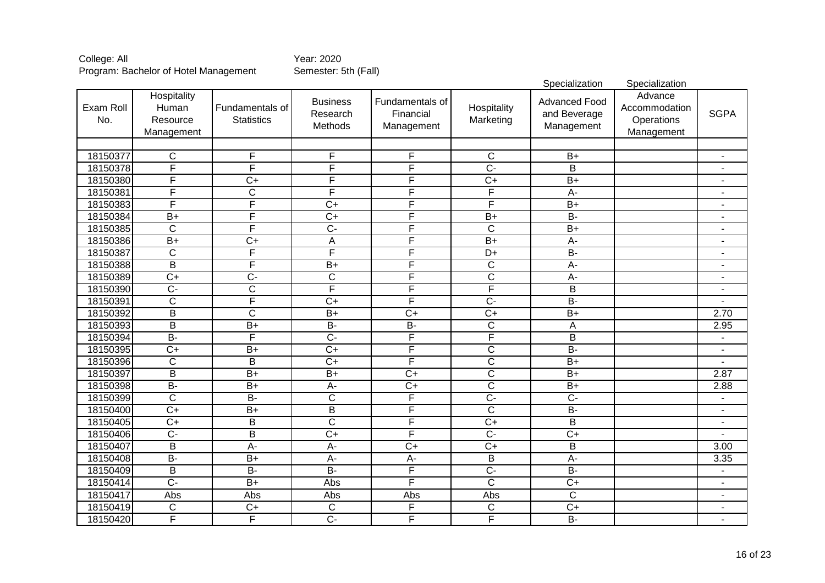|                  |                                                |                                      |                                        |                                            |                          | Specialization                                     | Specialization                                       |                              |
|------------------|------------------------------------------------|--------------------------------------|----------------------------------------|--------------------------------------------|--------------------------|----------------------------------------------------|------------------------------------------------------|------------------------------|
| Exam Roll<br>No. | Hospitality<br>Human<br>Resource<br>Management | Fundamentals of<br><b>Statistics</b> | <b>Business</b><br>Research<br>Methods | Fundamentals of<br>Financial<br>Management | Hospitality<br>Marketing | <b>Advanced Food</b><br>and Beverage<br>Management | Advance<br>Accommodation<br>Operations<br>Management | <b>SGPA</b>                  |
|                  |                                                |                                      |                                        |                                            |                          |                                                    |                                                      |                              |
| 18150377         | $\overline{C}$                                 | $\overline{F}$                       | F                                      | F                                          | $\overline{C}$           | $\overline{B+}$                                    |                                                      | $\blacksquare$               |
| 18150378         | F                                              | F                                    | F                                      | F                                          | $\overline{C}$ -         | $\overline{\mathsf{B}}$                            |                                                      |                              |
| 18150380         | F                                              | $\overline{C+}$                      | F                                      | F                                          | $\overline{C+}$          | $\overline{B+}$                                    |                                                      | -                            |
| 18150381         | F                                              | $\overline{\text{C}}$                | F                                      | F                                          | F                        | $\overline{A}$                                     |                                                      | $\overline{\phantom{a}}$     |
| 18150383         | F                                              | F                                    | $\overline{C+}$                        | F                                          | F                        | $\overline{B+}$                                    |                                                      | $\blacksquare$               |
| 18150384         | $\overline{B+}$                                | F                                    | $\overline{C+}$                        | F                                          | $\overline{B+}$          | $B -$                                              |                                                      | $\blacksquare$               |
| 18150385         | $\overline{\text{c}}$                          | F                                    | $\overline{C}$                         | F                                          | $\overline{\text{c}}$    | $\overline{B+}$                                    |                                                      | $\blacksquare$               |
| 18150386         | $\overline{B+}$                                | $\overline{C}$                       | A                                      | F                                          | $\overline{B+}$          | $\overline{A}$ -                                   |                                                      | $\blacksquare$               |
| 18150387         | $\overline{\text{c}}$                          | F                                    | F                                      | Ē                                          | $\overline{D+}$          | $\overline{B}$                                     |                                                      | $\blacksquare$               |
| 18150388         | $\overline{B}$                                 | F                                    | $\overline{B}$                         | F                                          | $\overline{\mathsf{C}}$  | $A -$                                              |                                                      | $\overline{a}$               |
| 18150389         | $\overline{C}$                                 | $\overline{C}$                       | $\overline{\mathsf{C}}$                | F                                          | $\overline{\mathsf{C}}$  | $\overline{A}$                                     |                                                      | ٠                            |
| 18150390         | $\overline{C}$                                 | $\overline{\text{c}}$                | F                                      | F                                          | F                        | $\overline{B}$                                     |                                                      | $\blacksquare$               |
| 18150391         | $\overline{\text{c}}$                          | F                                    | $\overline{C}$                         | F                                          | $\overline{C}$           | $B -$                                              |                                                      |                              |
| 18150392         | $\overline{\mathsf{B}}$                        | $\overline{\text{c}}$                | $\overline{B+}$                        | $\overline{C+}$                            | $C+$                     | $\overline{B+}$                                    |                                                      | 2.70                         |
| 18150393         | $\overline{B}$                                 | $B+$                                 | $B -$                                  | $B -$                                      | $\overline{\mathsf{C}}$  | A                                                  |                                                      | 2.95                         |
| 18150394         | $\overline{B}$                                 | F                                    | $\overline{C}$                         | F                                          | F                        | $\overline{B}$                                     |                                                      | $\blacksquare$               |
| 18150395         | $\overline{C+}$                                | $\overline{B+}$                      | $\overline{C+}$                        | F                                          | $\overline{c}$           | $B -$                                              |                                                      | ٠                            |
| 18150396         | $\mathsf{C}$                                   | B                                    | $\overline{C+}$                        | F                                          | $\overline{C}$           | $\overline{B+}$                                    |                                                      |                              |
| 18150397         | $\overline{B}$                                 | $B+$                                 | $\overline{B+}$                        | $\overline{C+}$                            | $\overline{C}$           | $\overline{B+}$                                    |                                                      | 2.87                         |
| 18150398         | $B -$                                          | $B+$                                 | $A -$                                  | $\overline{C+}$                            | $\overline{C}$           | $\overline{B+}$                                    |                                                      | 2.88                         |
| 18150399         | $\overline{C}$                                 | $B -$                                | $\overline{C}$                         | F                                          | $\overline{C}$           | $\overline{C}$                                     |                                                      | $\blacksquare$               |
| 18150400         | $\overline{C}$                                 | $\overline{B+}$                      | $\overline{B}$                         | F                                          | $\overline{c}$           | $B -$                                              |                                                      | $\qquad \qquad \blacksquare$ |
| 18150405         | $\overline{C+}$                                | B                                    | $\overline{\text{c}}$                  | F                                          | $\overline{C+}$          | $\overline{B}$                                     |                                                      | $\overline{\phantom{a}}$     |
| 18150406         | $\overline{C}$                                 | B                                    | $\overline{C+}$                        | F                                          | $\overline{C}$           | $\overline{C+}$                                    |                                                      | $\blacksquare$               |
| 18150407         | $\overline{B}$                                 | $\overline{A}$                       | $\overline{A}$                         | $\overline{C+}$                            | $\overline{C+}$          | $\overline{B}$                                     |                                                      | 3.00                         |
| 18150408         | $\overline{B}$                                 | $\overline{B+}$                      | A-                                     | A-                                         | B                        | A-                                                 |                                                      | 3.35                         |
| 18150409         | B                                              | <b>B-</b>                            | $\overline{B}$                         | F                                          | $\overline{C}$           | <b>B-</b>                                          |                                                      | $\blacksquare$               |
| 18150414         | $\overline{C}$                                 | $\overline{B+}$                      | Abs                                    | F                                          | $\overline{\mathsf{C}}$  | $\overline{C+}$                                    |                                                      | $\overline{\phantom{a}}$     |
| 18150417         | Abs                                            | Abs                                  | Abs                                    | Abs                                        | Abs                      | $\overline{C}$                                     |                                                      | $\blacksquare$               |
| 18150419         | $\overline{C}$                                 | $\overline{C+}$                      | $\overline{C}$                         | F                                          | $\mathsf C$              | $\overline{C+}$                                    |                                                      | $\overline{\phantom{a}}$     |
| 18150420         | F                                              | F                                    | $\overline{C}$                         | F                                          | F                        | $B -$                                              |                                                      | $\blacksquare$               |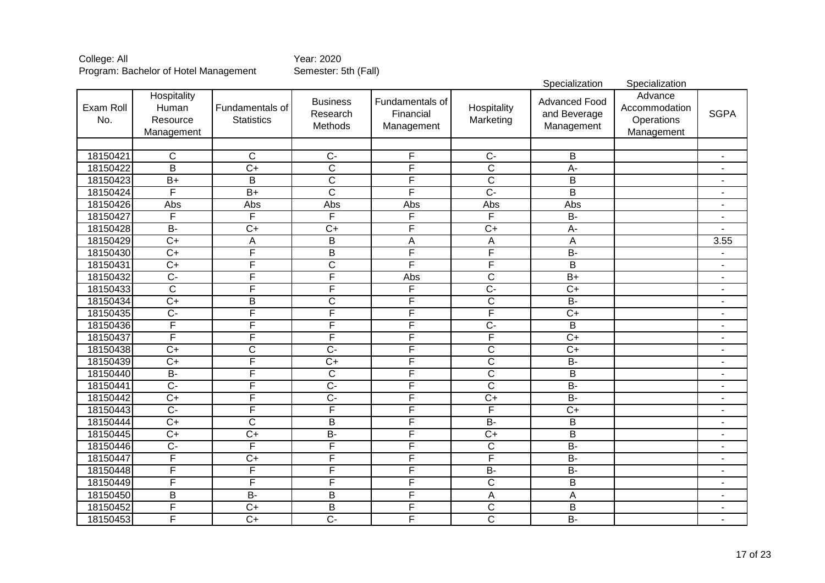|                  |                                                |                                      |                                        |                                            |                           | Specialization                                     | Specialization                                       |                          |
|------------------|------------------------------------------------|--------------------------------------|----------------------------------------|--------------------------------------------|---------------------------|----------------------------------------------------|------------------------------------------------------|--------------------------|
| Exam Roll<br>No. | Hospitality<br>Human<br>Resource<br>Management | Fundamentals of<br><b>Statistics</b> | <b>Business</b><br>Research<br>Methods | Fundamentals of<br>Financial<br>Management | Hospitality<br>Marketing  | <b>Advanced Food</b><br>and Beverage<br>Management | Advance<br>Accommodation<br>Operations<br>Management | <b>SGPA</b>              |
|                  |                                                |                                      |                                        |                                            |                           |                                                    |                                                      |                          |
| 18150421         | $\overline{C}$                                 | $\mathsf{C}$                         | $\overline{C}$                         | F                                          | $\overline{C}$            | B                                                  |                                                      | $\blacksquare$           |
| 18150422         | $\overline{\mathsf{B}}$                        | $\overline{C+}$                      | $\overline{\text{c}}$                  | F                                          | $\overline{\text{c}}$     | $\overline{A}$ -                                   |                                                      |                          |
| 18150423         | $\overline{B+}$                                | $\overline{\mathsf{B}}$              | $\overline{C}$                         | F                                          | $\overline{C}$            | $\overline{B}$                                     |                                                      | $\blacksquare$           |
| 18150424         | F                                              | $\overline{B+}$                      | $\overline{\text{c}}$                  | F                                          | $\overline{C}$            | $\overline{\mathsf{B}}$                            |                                                      | $\blacksquare$           |
| 18150426         | Abs                                            | Abs                                  | Abs                                    | Abs                                        | Abs                       | <b>Abs</b>                                         |                                                      | $\blacksquare$           |
| 18150427         | F                                              | F                                    | F                                      | F                                          | F                         | $B -$                                              |                                                      | $\overline{a}$           |
| 18150428         | $\overline{B}$                                 | $\overline{C+}$                      | $\overline{C}$                         | F                                          | $\overline{C+}$           | $\overline{A}$                                     |                                                      |                          |
| 18150429         | $\overline{C+}$                                | Α                                    | $\overline{B}$                         | A                                          | $\boldsymbol{\mathsf{A}}$ | A                                                  |                                                      | 3.55                     |
| 18150430         | $\overline{C}$                                 | F                                    | $\overline{B}$                         | F                                          | F                         | $\overline{B}$                                     |                                                      | $\overline{\phantom{a}}$ |
| 18150431         | $\overline{C+}$                                | F                                    | $\overline{C}$                         | F                                          | F                         | B                                                  |                                                      | $\blacksquare$           |
| 18150432         | $\overline{C}$                                 | F                                    | F                                      | Abs                                        | $\overline{\text{c}}$     | $\overline{B+}$                                    |                                                      | $\blacksquare$           |
| 18150433         | $\overline{C}$                                 | F                                    | F                                      | F                                          | $\overline{C}$            | $\overline{C+}$                                    |                                                      | ÷,                       |
| 18150434         | $\overline{C+}$                                | $\overline{B}$                       | $\overline{\mathsf{C}}$                | F                                          | $\overline{\mathsf{C}}$   | $B -$                                              |                                                      | $\blacksquare$           |
| 18150435         | $\overline{C}$                                 | F                                    | F                                      | F                                          | F                         | $C+$                                               |                                                      | ä,                       |
| 18150436         | $\overline{\mathsf{F}}$                        | F                                    | F                                      | F                                          | $\overline{C}$            | $\overline{B}$                                     |                                                      | $\overline{\phantom{a}}$ |
| 18150437         | F                                              | F                                    | F                                      | F                                          | F                         | $C+$                                               |                                                      | $\overline{\phantom{a}}$ |
| 18150438         | $\overline{C}$                                 | $\overline{\text{C}}$                | $\overline{C}$                         | F                                          | $\overline{C}$            | $\overline{C+}$                                    |                                                      | $\overline{\phantom{a}}$ |
| 18150439         | $\overline{C+}$                                | F                                    | $\overline{C+}$                        | F                                          | $\overline{\text{c}}$     | $\overline{B}$                                     |                                                      | $\blacksquare$           |
| 18150440         | $B -$                                          | F                                    | $\overline{C}$                         | F                                          | $\overline{\text{c}}$     | $\overline{B}$                                     |                                                      | $\blacksquare$           |
| 18150441         | $\overline{C}$                                 | F                                    | $\overline{C}$                         | F                                          | $\overline{\text{c}}$     | $B -$                                              |                                                      | $\blacksquare$           |
| 18150442         | $\overline{C+}$                                | F                                    | $\overline{C}$                         | F                                          | $\overline{C+}$           | $\overline{B}$                                     |                                                      | $\blacksquare$           |
| 18150443         | $\overline{C}$                                 | F                                    | F                                      | F                                          | F                         | $\overline{C+}$                                    |                                                      | $\blacksquare$           |
| 18150444         | $\overline{C}$                                 | $\overline{\text{c}}$                | $\overline{B}$                         | F                                          | $B -$                     | B                                                  |                                                      | $\blacksquare$           |
| 18150445         | $\overline{C}$                                 | $\overline{C+}$                      | $\overline{B}$                         | F                                          | $\overline{C+}$           | $\overline{B}$                                     |                                                      | -                        |
| 18150446         | $\overline{C}$                                 | F                                    | F                                      | F                                          | $\mathsf C$               | $B -$                                              |                                                      | $\blacksquare$           |
| 18150447         | F                                              | $\overline{C+}$                      | F                                      | F                                          | F                         | $\overline{B}$                                     |                                                      | $\blacksquare$           |
| 18150448         | F                                              | F                                    | F                                      | F                                          | $\overline{B}$            | <b>B-</b>                                          |                                                      | $\blacksquare$           |
| 18150449         | F                                              | F                                    | F                                      | F                                          | $\overline{C}$            | $\overline{B}$                                     |                                                      | $\blacksquare$           |
| 18150450         | $\overline{B}$                                 | $B -$                                | $\overline{B}$                         | F                                          | A                         | A                                                  |                                                      |                          |
| 18150452         | F                                              | $\overline{C+}$                      | $\overline{B}$                         | F                                          | $\overline{C}$            | $\overline{B}$                                     |                                                      |                          |
| 18150453         | F                                              | $\overline{C+}$                      | $\overline{C}$                         | F                                          | $\overline{\text{c}}$     | $\overline{B}$                                     |                                                      |                          |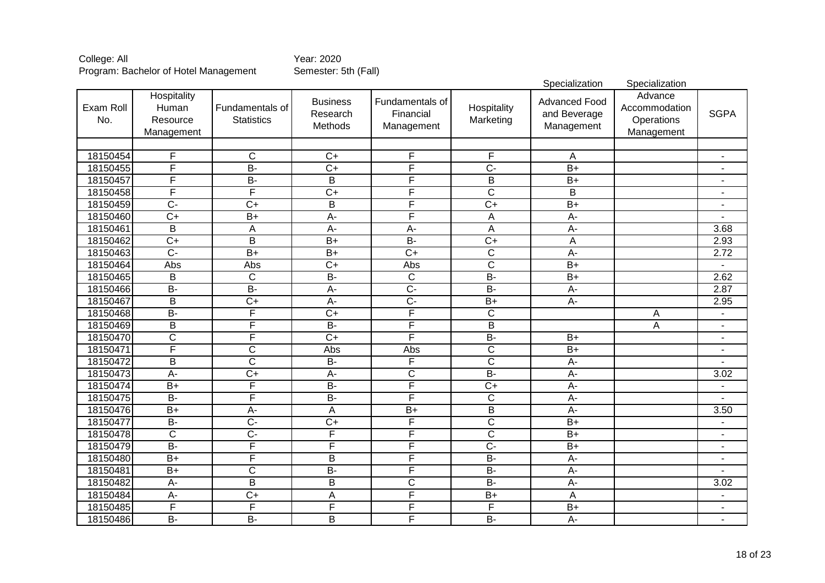|                  |                                                |                                      |                                        |                                            |                          | Specialization                                     | Specialization                                       |                          |
|------------------|------------------------------------------------|--------------------------------------|----------------------------------------|--------------------------------------------|--------------------------|----------------------------------------------------|------------------------------------------------------|--------------------------|
| Exam Roll<br>No. | Hospitality<br>Human<br>Resource<br>Management | Fundamentals of<br><b>Statistics</b> | <b>Business</b><br>Research<br>Methods | Fundamentals of<br>Financial<br>Management | Hospitality<br>Marketing | <b>Advanced Food</b><br>and Beverage<br>Management | Advance<br>Accommodation<br>Operations<br>Management | <b>SGPA</b>              |
|                  |                                                |                                      |                                        |                                            |                          |                                                    |                                                      |                          |
| 18150454         | F                                              | $\overline{\text{c}}$                | $\overline{C+}$                        | F                                          | F                        | $\mathsf A$                                        |                                                      |                          |
| 18150455         | F                                              | $B -$                                | $\overline{C+}$                        | F                                          | $\overline{C}$           | $\overline{B+}$                                    |                                                      |                          |
| 18150457         | F                                              | $B -$                                | $\overline{B}$                         | F                                          | $\overline{B}$           | $\overline{B+}$                                    |                                                      |                          |
| 18150458         | F                                              | F                                    | $\overline{C+}$                        | F                                          | $\overline{\mathsf{C}}$  | $\overline{B}$                                     |                                                      | $\blacksquare$           |
| 18150459         | $\overline{C}$ -                               | $\overline{C}$ +                     | $\overline{B}$                         | F                                          | $\overline{C+}$          | $\overline{B+}$                                    |                                                      | $\blacksquare$           |
| 18150460         | $\overline{C}$                                 | $\overline{B+}$                      | A-                                     | F                                          | A                        | $A -$                                              |                                                      |                          |
| 18150461         | $\overline{\mathsf{B}}$                        | A                                    | $A -$                                  | $\overline{A}$                             | $\overline{A}$           | $\overline{A}$                                     |                                                      | 3.68                     |
| 18150462         | $\overline{C+}$                                | $\overline{\mathsf{B}}$              | $B+$                                   | $\overline{B}$                             | $\overline{C+}$          | $\overline{A}$                                     |                                                      | 2.93                     |
| 18150463         | $\overline{C}$                                 | $B+$                                 | $\overline{B+}$                        | $\overline{C+}$                            | $\overline{\text{c}}$    | $\overline{A}$                                     |                                                      | 2.72                     |
| 18150464         | Abs                                            | Abs                                  | $\overline{C+}$                        | Abs                                        | $\overline{\mathsf{C}}$  | $\overline{B+}$                                    |                                                      |                          |
| 18150465         | B                                              | $\overline{C}$                       | $B -$                                  | $\overline{C}$                             | $B -$                    | $\overline{B+}$                                    |                                                      | 2.62                     |
| 18150466         | $B -$                                          | $B -$                                | $A -$                                  | $\overline{C}$                             | $\overline{B}$           | $A -$                                              |                                                      | 2.87                     |
| 18150467         | $\overline{B}$                                 | $\overline{C+}$                      | $\overline{A}$ -                       | $\overline{C}$ -                           | $\overline{B+}$          | $\overline{A}$ -                                   |                                                      | 2.95                     |
| 18150468         | $\overline{B}$                                 | F                                    | $\overline{C+}$                        | F                                          | $\overline{\text{c}}$    |                                                    | A                                                    | $\blacksquare$           |
| 18150469         | B                                              | F                                    | $B -$                                  | F                                          | $\overline{B}$           |                                                    | A                                                    | $\blacksquare$           |
| 18150470         | $\overline{\mathsf{C}}$                        | F                                    | $\overline{C+}$                        | F                                          | $\overline{B}$ -         | $\overline{B+}$                                    |                                                      | $\blacksquare$           |
| 18150471         | F                                              | $\overline{C}$                       | Abs                                    | Abs                                        | $\overline{C}$           | $\overline{B+}$                                    |                                                      | $\blacksquare$           |
| 18150472         | B                                              | $\overline{\text{c}}$                | $\overline{B}$                         | F                                          | $\overline{\text{c}}$    | A-                                                 |                                                      |                          |
| 18150473         | A-                                             | $\overline{C+}$                      | $A -$                                  | C                                          | $\overline{B}$           | A-                                                 |                                                      | 3.02                     |
| 18150474         | $B+$                                           | F                                    | $B -$                                  | F                                          | $\overline{C+}$          | A-                                                 |                                                      | $\overline{\phantom{a}}$ |
| 18150475         | $B -$                                          | F                                    | $B -$                                  | F                                          | $\overline{C}$           | $A -$                                              |                                                      | $\blacksquare$           |
| 18150476         | $B+$                                           | $A -$                                | A                                      | $\overline{B+}$                            | $\overline{B}$           | A-                                                 |                                                      | 3.50                     |
| 18150477         | $B -$                                          | $\overline{C}$                       | $\overline{C+}$                        | F                                          | $\overline{C}$           | $B+$                                               |                                                      | $\blacksquare$           |
| 18150478         | $\overline{C}$                                 | $\overline{C}$                       | F                                      | F                                          | $\overline{C}$           | $B+$                                               |                                                      | $\blacksquare$           |
| 18150479         | $B -$                                          | F                                    | $\mathsf{F}$                           | F                                          | $\overline{C}$           | $\overline{B+}$                                    |                                                      | $\overline{\phantom{a}}$ |
| 18150480         | $B+$                                           | F                                    | B                                      | F                                          | <b>B-</b>                | A-                                                 |                                                      | $\blacksquare$           |
| 18150481         | $\overline{B+}$                                | $\overline{\text{c}}$                | $\overline{B}$                         | F                                          | $\overline{B}$           | $A -$                                              |                                                      |                          |
| 18150482         | $A -$                                          | B                                    | B                                      | C                                          | <b>B-</b>                | $A -$                                              |                                                      | 3.02                     |
| 18150484         | A-                                             | $\overline{C+}$                      | A                                      | F                                          | $B+$                     | A                                                  |                                                      | $\blacksquare$           |
| 18150485         | F                                              | F                                    | $\overline{F}$                         | F                                          | F                        | $B+$                                               |                                                      |                          |
| 18150486         | $\overline{B}$                                 | $B -$                                | B                                      | F                                          | $\overline{B}$           | $\overline{A}$                                     |                                                      |                          |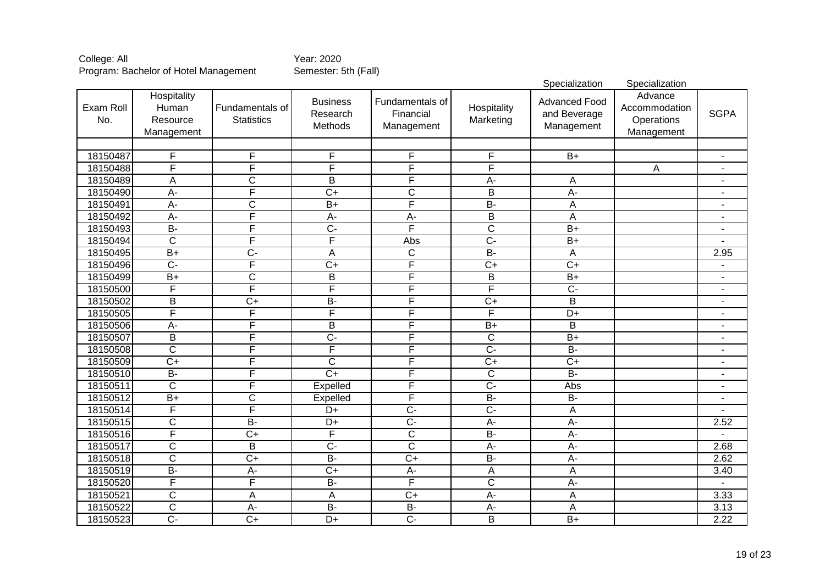|                  |                                                |                                      |                                        |                                            |                          | Specialization                                     | Specialization                                       |                          |
|------------------|------------------------------------------------|--------------------------------------|----------------------------------------|--------------------------------------------|--------------------------|----------------------------------------------------|------------------------------------------------------|--------------------------|
| Exam Roll<br>No. | Hospitality<br>Human<br>Resource<br>Management | Fundamentals of<br><b>Statistics</b> | <b>Business</b><br>Research<br>Methods | Fundamentals of<br>Financial<br>Management | Hospitality<br>Marketing | <b>Advanced Food</b><br>and Beverage<br>Management | Advance<br>Accommodation<br>Operations<br>Management | <b>SGPA</b>              |
|                  |                                                |                                      |                                        |                                            |                          |                                                    |                                                      |                          |
| 18150487         | F                                              | F                                    | $\overline{F}$                         | F                                          | $\overline{F}$           | $\overline{B+}$                                    |                                                      | $\blacksquare$           |
| 18150488         | F                                              | F                                    | F                                      | F                                          | F                        |                                                    | A                                                    | $\blacksquare$           |
| 18150489         | A                                              | $\overline{\text{c}}$                | B                                      | F                                          | $A -$                    | A                                                  |                                                      |                          |
| 18150490         | $\overline{A}$                                 | F                                    | $\overline{C+}$                        | $\overline{\text{c}}$                      | $\overline{B}$           | $\overline{A}$                                     |                                                      | $\overline{\phantom{a}}$ |
| 18150491         | $\overline{A}$                                 | C                                    | $\overline{B+}$                        | F                                          | $\overline{B}$           | A                                                  |                                                      | $\overline{\phantom{a}}$ |
| 18150492         | $\overline{A}$ -                               | F                                    | $\overline{A}$ -                       | $\overline{A}$ -                           | $\overline{B}$           | $\overline{A}$                                     |                                                      | $\blacksquare$           |
| 18150493         | $B -$                                          | F                                    | $\overline{C}$                         | F                                          | $\overline{\mathsf{C}}$  | $\overline{B+}$                                    |                                                      | $\blacksquare$           |
| 18150494         | $\overline{\text{c}}$                          | F                                    | F                                      | Abs                                        | $\overline{C}$ -         | $\overline{B+}$                                    |                                                      |                          |
| 18150495         | $\overline{B+}$                                | $\overline{C}$                       | A                                      | $\overline{C}$                             | $\overline{B}$           | $\overline{A}$                                     |                                                      | 2.95                     |
| 18150496         | $\overline{C}$                                 | F                                    | $\overline{C+}$                        | F                                          | $\overline{C+}$          | $\overline{C+}$                                    |                                                      | $\blacksquare$           |
| 18150499         | $\overline{B+}$                                | $\overline{\text{c}}$                | $\overline{B}$                         | F                                          | B                        | $\overline{B+}$                                    |                                                      | $\blacksquare$           |
| 18150500         | F                                              | F                                    | F                                      | F                                          | F                        | $\overline{C}$                                     |                                                      | ÷                        |
| 18150502         | B                                              | $\overline{C}$                       | $\overline{B}$                         | F                                          | $\overline{C+}$          | $\overline{B}$                                     |                                                      | $\blacksquare$           |
| 18150505         | F                                              | F                                    | F                                      | F                                          | $\overline{\mathsf{F}}$  | $\overline{D+}$                                    |                                                      | $\overline{a}$           |
| 18150506         | $A -$                                          | F                                    | $\overline{B}$                         | F                                          | $B+$                     | $\overline{B}$                                     |                                                      | $\blacksquare$           |
| 18150507         | $\overline{B}$                                 | F                                    | $\overline{C}$                         | F                                          | $\overline{C}$           | $B+$                                               |                                                      | $\blacksquare$           |
| 18150508         | $\overline{C}$                                 | F                                    | F                                      | F                                          | $\overline{C}$           | $B -$                                              |                                                      | $\blacksquare$           |
| 18150509         | $\overline{C+}$                                | F                                    | $\overline{C}$                         | F                                          | $\overline{C+}$          | $\overline{C+}$                                    |                                                      | L.                       |
| 18150510         | $B -$                                          | F                                    | $\overline{C+}$                        | F                                          | $\overline{C}$           | $B -$                                              |                                                      | $\overline{a}$           |
| 18150511         | $\overline{C}$                                 | F                                    | Expelled                               | F                                          | $\overline{C}$           | Abs                                                |                                                      | $\overline{\phantom{0}}$ |
| 18150512         | $B+$                                           | $\overline{\text{C}}$                | Expelled                               | F                                          | $B -$                    | $B -$                                              |                                                      |                          |
| 18150514         | F                                              | $\overline{\mathsf{F}}$              | $D+$                                   | $\overline{C}$                             | $\overline{C}$           | A                                                  |                                                      |                          |
| 18150515         | $\mathsf{C}$                                   | $\overline{B}$                       | $D+$                                   | $\overline{C}$                             | $A -$                    | A-                                                 |                                                      | 2.52                     |
| 18150516         | F                                              | $\overline{C+}$                      | F                                      | $\overline{\text{c}}$                      | $\overline{B}$           | A-                                                 |                                                      |                          |
| 18150517         | $\overline{\text{c}}$                          | B                                    | $\overline{C}$                         | $\overline{\text{c}}$                      | $A -$                    | A-                                                 |                                                      | 2.68                     |
| 18150518         | $\overline{\text{c}}$                          | $\overline{C+}$                      | $\overline{B}$                         | $\overline{C+}$                            | $\overline{B}$           | $A -$                                              |                                                      | 2.62                     |
| 18150519         | $\overline{B}$                                 | A-                                   | $\overline{C+}$                        | A-                                         | $\mathsf A$              | A                                                  |                                                      | 3.40                     |
| 18150520         | F                                              | $\overline{\mathsf{F}}$              | $B -$                                  | F                                          | $\overline{\text{c}}$    | A-                                                 |                                                      |                          |
| 18150521         | C                                              | A                                    | A                                      | $\overline{C+}$                            | A-                       | A                                                  |                                                      | 3.33                     |
| 18150522         | $\overline{\text{C}}$                          | $A -$                                | $\overline{B}$                         | $B -$                                      | $A -$                    | A                                                  |                                                      | 3.13                     |
| 18150523         | $\overline{C}$                                 | $\overline{C+}$                      | $D+$                                   | $\overline{C}$                             | B                        | $B+$                                               |                                                      | 2.22                     |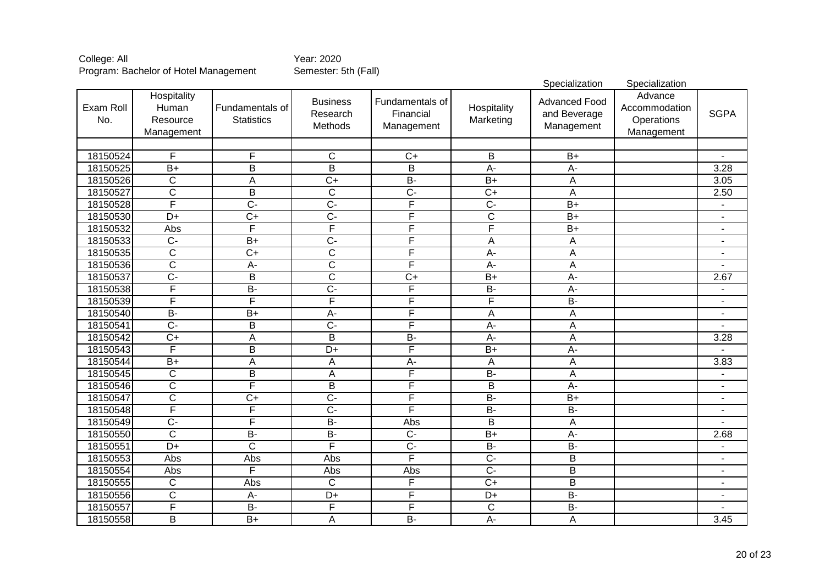|                  |                                                |                                      |                                        |                                            |                          | Specialization                                     | Specialization                                       |                          |
|------------------|------------------------------------------------|--------------------------------------|----------------------------------------|--------------------------------------------|--------------------------|----------------------------------------------------|------------------------------------------------------|--------------------------|
| Exam Roll<br>No. | Hospitality<br>Human<br>Resource<br>Management | Fundamentals of<br><b>Statistics</b> | <b>Business</b><br>Research<br>Methods | Fundamentals of<br>Financial<br>Management | Hospitality<br>Marketing | <b>Advanced Food</b><br>and Beverage<br>Management | Advance<br>Accommodation<br>Operations<br>Management | <b>SGPA</b>              |
|                  |                                                |                                      |                                        |                                            |                          |                                                    |                                                      |                          |
| 18150524         | F                                              | F                                    | $\overline{C}$                         | $C+$                                       | B                        | $B+$                                               |                                                      |                          |
| 18150525         | $\overline{B+}$                                | $\overline{\mathsf{B}}$              | $\overline{B}$                         | $\overline{\mathsf{B}}$                    | $A -$                    | $A -$                                              |                                                      | 3.28                     |
| 18150526         | $\overline{\text{c}}$                          | $\overline{A}$                       | $\overline{C+}$                        | $B -$                                      | $\overline{B}$           | Α                                                  |                                                      | 3.05                     |
| 18150527         | $\overline{C}$                                 | $\overline{B}$                       | $\overline{C}$                         | $\overline{C}$                             | $\overline{C+}$          | A                                                  |                                                      | 2.50                     |
| 18150528         | F                                              | $\overline{C}$                       | $\overline{C}$                         | F                                          | $\overline{C}$           | $\overline{B+}$                                    |                                                      |                          |
| 18150530         | $\overline{D+}$                                | $\overline{C+}$                      | $\overline{C}$                         | F                                          | $\overline{C}$           | $\overline{B+}$                                    |                                                      | $\blacksquare$           |
| 18150532         | Abs                                            | F                                    | F                                      | F                                          | F                        | $\overline{B+}$                                    |                                                      | $\blacksquare$           |
| 18150533         | $\overline{C}$                                 | $\overline{B}$                       | $\overline{C}$                         | F                                          | A                        | A                                                  |                                                      | $\blacksquare$           |
| 18150535         | $\overline{\text{c}}$                          | $\overline{C+}$                      | $\overline{\mathsf{C}}$                | F                                          | $\overline{A}$           | $\overline{\mathsf{A}}$                            |                                                      | $\blacksquare$           |
| 18150536         | $\overline{\text{c}}$                          | $\overline{A}$                       | $\overline{\text{c}}$                  | F                                          | $\overline{A}$ -         | $\overline{A}$                                     |                                                      |                          |
| 18150537         | $\overline{C}$ -                               | $\overline{B}$                       | $\overline{\mathsf{C}}$                | $\overline{C+}$                            | $\overline{B+}$          | $A -$                                              |                                                      | 2.67                     |
| 18150538         | F                                              | $B -$                                | $\overline{C}$ -                       | F                                          | $B -$                    | $A -$                                              |                                                      | ÷                        |
| 18150539         | F                                              | F                                    | $\overline{\mathsf{F}}$                | F                                          | F                        | $\overline{B}$                                     |                                                      | $\blacksquare$           |
| 18150540         | $B -$                                          | $\overline{B+}$                      | $A -$                                  | F                                          | A                        | $\overline{\mathsf{A}}$                            |                                                      | ÷                        |
| 18150541         | $\overline{C}$                                 | B                                    | $\overline{C}$                         | F                                          | $\overline{A}$           | A                                                  |                                                      |                          |
| 18150542         | $\overline{C+}$                                | $\overline{A}$                       | $\overline{B}$                         | $B -$                                      | $A -$                    | $\overline{\mathsf{A}}$                            |                                                      | 3.28                     |
| 18150543         | F                                              | B                                    | $\overline{D+}$                        | F                                          | $B+$                     | A-                                                 |                                                      |                          |
| 18150544         | $B+$                                           | A                                    | A                                      | A-                                         | A                        | A                                                  |                                                      | 3.83                     |
| 18150545         | $\overline{C}$                                 | $\overline{B}$                       | A                                      | F                                          | $B -$                    | A                                                  |                                                      | $\blacksquare$           |
| 18150546         | $\mathsf C$                                    | F                                    | B                                      | F                                          | B                        | A-                                                 |                                                      | $\blacksquare$           |
| 18150547         | $\overline{C}$                                 | $\overline{C+}$                      | $\overline{C}$                         | F                                          | $B -$                    | $\overline{B+}$                                    |                                                      | $\overline{a}$           |
| 18150548         | F                                              | F                                    | $\overline{C}$                         | F                                          | $\overline{B}$           | $B -$                                              |                                                      | $\blacksquare$           |
| 18150549         | $\overline{C}$                                 | $\overline{\mathsf{F}}$              | $B -$                                  | Abs                                        | $\overline{B}$           | $\mathsf A$                                        |                                                      |                          |
| 18150550         | $\overline{C}$                                 | $\overline{B}$                       | $B -$                                  | $\overline{C}$                             | $\overline{B}$           | A-                                                 |                                                      | 2.68                     |
| 18150551         | $\overline{D+}$                                | $\overline{\text{c}}$                | F                                      | $\overline{C}$                             | $B -$                    | $B -$                                              |                                                      | $\overline{\phantom{a}}$ |
| 18150553         | Abs                                            | Abs                                  | Abs                                    | F                                          | $\overline{C}$           | B                                                  |                                                      | $\blacksquare$           |
| 18150554         | Abs                                            | F                                    | Abs                                    | Abs                                        | $\overline{C}$           | B                                                  |                                                      | $\blacksquare$           |
| 18150555         | $\mathsf C$                                    | Abs                                  | $\overline{C}$                         | F                                          | $\overline{C+}$          | $\overline{\mathsf{B}}$                            |                                                      | $\blacksquare$           |
| 18150556         | $\mathsf{C}$                                   | A-                                   | D+                                     | F                                          | D+                       | <b>B-</b>                                          |                                                      | $\blacksquare$           |
| 18150557         | $\overline{\mathsf{F}}$                        | $\overline{B}$                       | $\overline{F}$                         | F                                          | $\mathsf C$              | $\overline{B}$                                     |                                                      | $\blacksquare$           |
| 18150558         | B                                              | $\overline{B+}$                      | A                                      | $B -$                                      | $\overline{A}$ -         | A                                                  |                                                      | 3.45                     |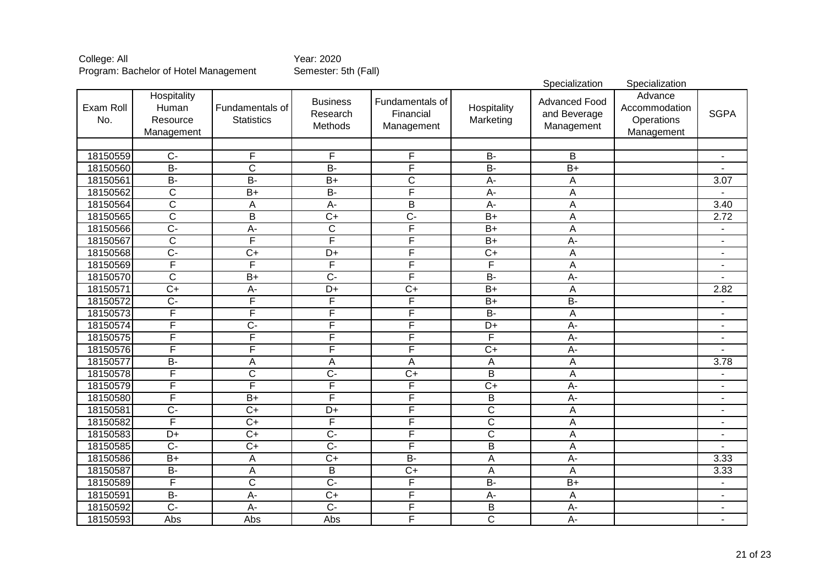|                  |                                                |                                      |                                        |                                            |                          | Specialization                                     | Specialization                                       |                          |
|------------------|------------------------------------------------|--------------------------------------|----------------------------------------|--------------------------------------------|--------------------------|----------------------------------------------------|------------------------------------------------------|--------------------------|
| Exam Roll<br>No. | Hospitality<br>Human<br>Resource<br>Management | Fundamentals of<br><b>Statistics</b> | <b>Business</b><br>Research<br>Methods | Fundamentals of<br>Financial<br>Management | Hospitality<br>Marketing | <b>Advanced Food</b><br>and Beverage<br>Management | Advance<br>Accommodation<br>Operations<br>Management | <b>SGPA</b>              |
|                  |                                                |                                      |                                        |                                            |                          |                                                    |                                                      |                          |
| 18150559         | $\overline{C}$                                 | F                                    | $\overline{F}$                         | F                                          | <b>B-</b>                | B                                                  |                                                      | $\overline{a}$           |
| 18150560         | $\overline{B}$                                 | $\overline{\text{c}}$                | $\overline{B}$                         | F                                          | $\overline{B}$           | $\overline{B+}$                                    |                                                      |                          |
| 18150561         | $B -$                                          | $B -$                                | $\overline{B+}$                        | $\overline{\text{c}}$                      | $\overline{A}$           | Α                                                  |                                                      | 3.07                     |
| 18150562         | $\overline{\text{c}}$                          | $\overline{B+}$                      | $B -$                                  | F                                          | $A -$                    | Α                                                  |                                                      |                          |
| 18150564         | $\overline{\mathsf{C}}$                        | A                                    | $\overline{A}$                         | $\overline{\mathsf{B}}$                    | $\overline{A}$ -         | A                                                  |                                                      | 3.40                     |
| 18150565         | $\overline{\text{c}}$                          | $\overline{\mathsf{B}}$              | $\overline{C+}$                        | $\overline{C}$                             | $B+$                     | Ā                                                  |                                                      | 2.72                     |
| 18150566         | $\overline{C}$                                 | $\overline{A}$                       | $\overline{\mathsf{C}}$                | F                                          | $B+$                     | A                                                  |                                                      | $\overline{\phantom{a}}$ |
| 18150567         | $\overline{\text{c}}$                          | F                                    | F                                      | F                                          | $B+$                     | $A -$                                              |                                                      | $\blacksquare$           |
| 18150568         | $\overline{C}$                                 | $\overline{C}$                       | $\overline{D+}$                        | F                                          | $\overline{C+}$          | A                                                  |                                                      | $\blacksquare$           |
| 18150569         | F                                              | F                                    | F                                      | F                                          | F                        | $\overline{A}$                                     |                                                      | $\blacksquare$           |
| 18150570         | $\overline{\mathsf{C}}$                        | $\overline{B+}$                      | $\overline{C}$ -                       | F                                          | $B -$                    | $A -$                                              |                                                      |                          |
| 18150571         | $\overline{C}$                                 | $A-$                                 | $\overline{D+}$                        | $\overline{C}$                             | $\overline{B}$           | A                                                  |                                                      | 2.82                     |
| 18150572         | $\overline{C}$                                 | F                                    | F                                      | F                                          | $\overline{B+}$          | $B -$                                              |                                                      |                          |
| 18150573         | F                                              | F                                    | F                                      | F                                          | $\overline{B}$           | A                                                  |                                                      | $\overline{a}$           |
| 18150574         | F                                              | $\overline{C}$                       | F                                      | F                                          | $\overline{D+}$          | $A -$                                              |                                                      | $\blacksquare$           |
| 18150575         | F                                              | F                                    | F                                      | F                                          | F                        | $\overline{A}$                                     |                                                      | $\blacksquare$           |
| 18150576         | F                                              | F                                    | F                                      | F                                          | $\overline{C+}$          | $\overline{A}$                                     |                                                      |                          |
| 18150577         | $B -$                                          | A                                    | A                                      | A                                          | A                        | A                                                  |                                                      | 3.78                     |
| 18150578         | F                                              | $\overline{C}$                       | $\overline{C}$                         | $\overline{C+}$                            | $\overline{B}$           | A                                                  |                                                      | $\overline{\phantom{a}}$ |
| 18150579         | F                                              | F                                    | $\overline{\mathsf{F}}$                | F                                          | $\overline{C+}$          | $\overline{A}$                                     |                                                      | $\overline{a}$           |
| 18150580         | F                                              | $\overline{B+}$                      | $\overline{\mathsf{F}}$                | F                                          | B                        | A-                                                 |                                                      | $\blacksquare$           |
| 18150581         | $\overline{C}$                                 | $\overline{C}$                       | $\overline{D+}$                        | F                                          | $\overline{C}$           | A                                                  |                                                      | $\blacksquare$           |
| 18150582         | F                                              | $\overline{C+}$                      | $\overline{\mathsf{F}}$                | F                                          | $\overline{C}$           | A                                                  |                                                      | -                        |
| 18150583         | D+                                             | $\overline{C+}$                      | $\overline{C}$                         | F                                          | $\overline{C}$           | А                                                  |                                                      | $\blacksquare$           |
| 18150585         | $\overline{C}$                                 | $\overline{C+}$                      | $\overline{C}$                         | F                                          | $\overline{B}$           | А                                                  |                                                      | $\blacksquare$           |
| 18150586         | $B+$                                           | A                                    | $\overline{C+}$                        | $B -$                                      | A                        | $A -$                                              |                                                      | 3.33                     |
| 18150587         | <b>B-</b>                                      | A                                    | B                                      | $C+$                                       | A                        | A                                                  |                                                      | 3.33                     |
| 18150589         | $\overline{\mathsf{F}}$                        | $\overline{\text{c}}$                | $\overline{C}$                         | F                                          | $\overline{B}$           | $B+$                                               |                                                      | $\overline{\phantom{a}}$ |
| 18150591         | $\overline{B}$                                 | $\overline{A}$                       | $\overline{C}$                         | F                                          | $A -$                    | A                                                  |                                                      | $\blacksquare$           |
| 18150592         | $\overline{C}$                                 | $\overline{A}$                       | $\overline{C}$                         | F                                          | $\sf B$                  | $A -$                                              |                                                      | $\blacksquare$           |
| 18150593         | Abs                                            | Abs                                  | Abs                                    | F                                          | $\overline{C}$           | A-                                                 |                                                      | $\blacksquare$           |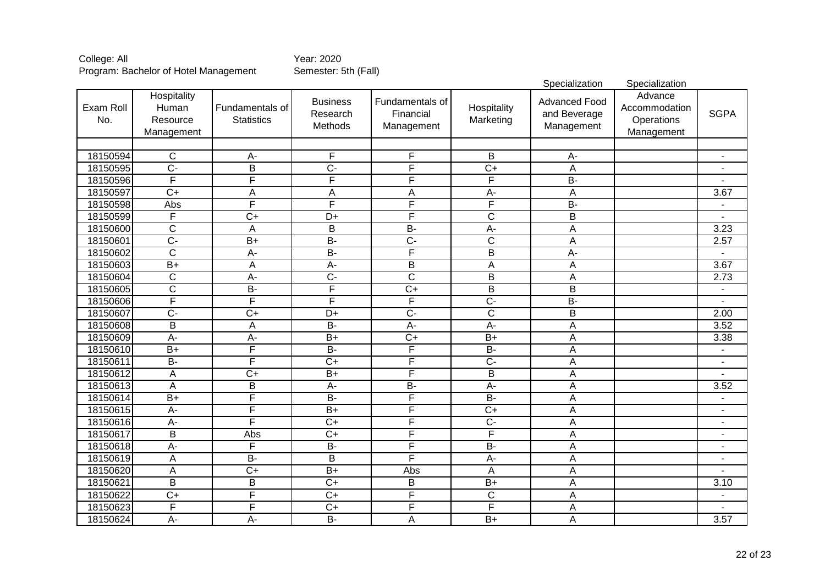|                  |                                                |                                      |                                        |                                            |                           | Specialization                                     | Specialization                                       |                          |
|------------------|------------------------------------------------|--------------------------------------|----------------------------------------|--------------------------------------------|---------------------------|----------------------------------------------------|------------------------------------------------------|--------------------------|
| Exam Roll<br>No. | Hospitality<br>Human<br>Resource<br>Management | Fundamentals of<br><b>Statistics</b> | <b>Business</b><br>Research<br>Methods | Fundamentals of<br>Financial<br>Management | Hospitality<br>Marketing  | <b>Advanced Food</b><br>and Beverage<br>Management | Advance<br>Accommodation<br>Operations<br>Management | <b>SGPA</b>              |
|                  |                                                |                                      |                                        |                                            |                           |                                                    |                                                      |                          |
| 18150594         | $\overline{C}$                                 | $A -$                                | $\overline{\mathsf{F}}$                | F                                          | B                         | A-                                                 |                                                      |                          |
| 18150595         | $\overline{C}$ -                               | $\overline{B}$                       | $\overline{C}$ -                       | F                                          | $\overline{C+}$           | A                                                  |                                                      |                          |
| 18150596         | F                                              | F                                    | F                                      | F                                          | F                         | $B -$                                              |                                                      |                          |
| 18150597         | $\overline{C+}$                                | $\overline{A}$                       | A                                      | $\overline{A}$                             | $\overline{A}$            | $\overline{A}$                                     |                                                      | 3.67                     |
| 18150598         | Abs                                            | F                                    | F                                      | F                                          | F                         | $B -$                                              |                                                      |                          |
| 18150599         | F                                              | $\overline{C+}$                      | $\overline{D+}$                        | F                                          | $\overline{\mathsf{C}}$   | $\overline{\mathsf{B}}$                            |                                                      |                          |
| 18150600         | $\overline{\text{c}}$                          | A                                    | $\overline{B}$                         | $B -$                                      | $\overline{A}$            | $\overline{A}$                                     |                                                      | 3.23                     |
| 18150601         | $\overline{C}$ -                               | $\overline{B+}$                      | $\overline{B}$                         | $\overline{C}$ -                           | ਟ                         | $\overline{A}$                                     |                                                      | 2.57                     |
| 18150602         | $\overline{\text{c}}$                          | $\overline{A}$                       | $\overline{B}$                         | F                                          | $\overline{B}$            | $\overline{A}$                                     |                                                      |                          |
| 18150603         | $\overline{B+}$                                | A                                    | $\overline{A}$                         | B                                          | $\boldsymbol{\mathsf{A}}$ | A                                                  |                                                      | 3.67                     |
| 18150604         | C                                              | $A -$                                | $\overline{C}$                         | $\overline{\mathsf{C}}$                    | $\overline{B}$            | A                                                  |                                                      | 2.73                     |
| 18150605         | C                                              | $B -$                                | F                                      | $\overline{C+}$                            | $\overline{B}$            | $\overline{B}$                                     |                                                      | $\blacksquare$           |
| 18150606         | F                                              | F                                    | F                                      | F                                          | $\overline{C}$            | $B -$                                              |                                                      |                          |
| 18150607         | $\overline{C}$                                 | $\overline{C+}$                      | $\overline{D+}$                        | $\overline{C}$                             | $\overline{\text{c}}$     | $\overline{\mathsf{B}}$                            |                                                      | 2.00                     |
| 18150608         | $\overline{B}$                                 | A                                    | $B -$                                  | $\overline{A}$                             | $A -$                     | $\overline{A}$                                     |                                                      | 3.52                     |
| 18150609         | $A -$                                          | $A -$                                | $B+$                                   | $\overline{C+}$                            | $\overline{B+}$           | $\overline{A}$                                     |                                                      | 3.38                     |
| 18150610         | $\overline{B+}$                                | F                                    | $B -$                                  | F                                          | $B -$                     | A                                                  |                                                      | $\blacksquare$           |
| 18150611         | $B -$                                          | F                                    | $\overline{C+}$                        | F                                          | $\overline{C}$            | A                                                  |                                                      | $\overline{a}$           |
| 18150612         | A                                              | $\overline{C+}$                      | $\overline{B+}$                        | F                                          | $\overline{B}$            | A                                                  |                                                      | $\overline{\phantom{0}}$ |
| 18150613         | A                                              | B                                    | $A -$                                  | $B -$                                      | $\overline{A}$            | A                                                  |                                                      | 3.52                     |
| 18150614         | $B+$                                           | F                                    | <b>B-</b>                              | F                                          | $\overline{B}$            | A                                                  |                                                      | $\overline{\phantom{0}}$ |
| 18150615         | A-                                             | F                                    | $B+$                                   | F                                          | $\overline{C+}$           | A                                                  |                                                      | $\blacksquare$           |
| 18150616         | A-                                             | F                                    | $\overline{C+}$                        | F                                          | $\overline{C}$            | A                                                  |                                                      | $\blacksquare$           |
| 18150617         | $\overline{B}$                                 | Abs                                  | $\overline{C+}$                        | F                                          | $\overline{\mathsf{F}}$   | A                                                  |                                                      | $\blacksquare$           |
| 18150618         | А-                                             | F                                    | <b>B-</b>                              | F                                          | <b>B-</b>                 | A                                                  |                                                      | $\blacksquare$           |
| 18150619         | A                                              | $\overline{B}$                       | $\overline{B}$                         | F                                          | $A -$                     | A                                                  |                                                      | $\blacksquare$           |
| 18150620         | A                                              | $\overline{C+}$                      | $\overline{B+}$                        | Abs                                        | $\boldsymbol{\mathsf{A}}$ | A                                                  |                                                      | $\blacksquare$           |
| 18150621         | $\overline{B}$                                 | $\overline{B}$                       | $\overline{C+}$                        | B                                          | $\overline{B+}$           | A                                                  |                                                      | 3.10                     |
| 18150622         | $C+$                                           | F                                    | $C+$                                   | F                                          | $\mathsf C$               | A                                                  |                                                      | $\blacksquare$           |
| 18150623         | F                                              | F                                    | $\overline{C+}$                        | F                                          | F                         | A                                                  |                                                      |                          |
| 18150624         | A-                                             | $\overline{A}$ -                     | $\overline{B}$                         | A                                          | $B+$                      | A                                                  |                                                      | 3.57                     |